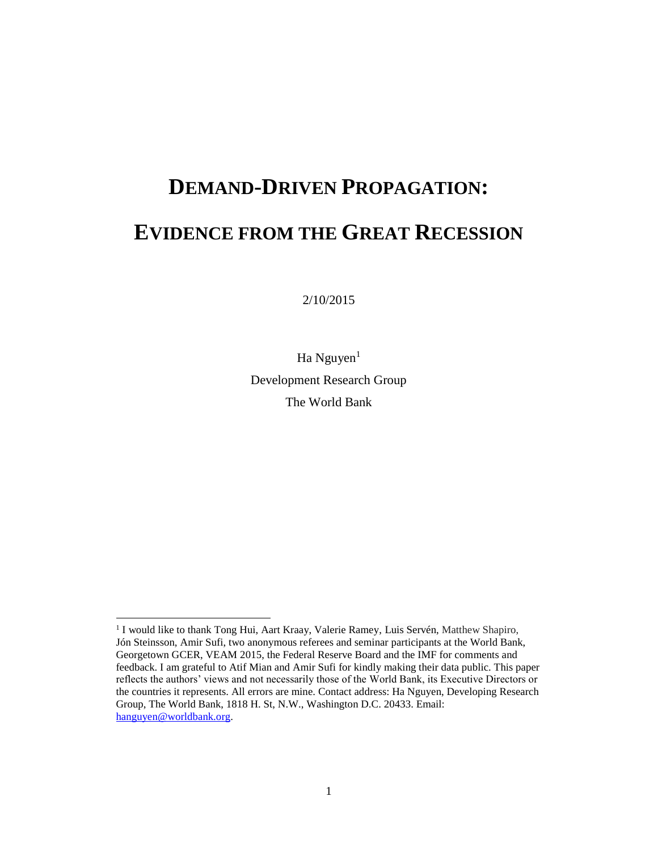# **DEMAND-DRIVEN PROPAGATION: EVIDENCE FROM THE GREAT RECESSION**

2/10/2015

Ha Nguyen<sup>1</sup> Development Research Group The World Bank

 $\overline{\phantom{a}}$ 

<sup>&</sup>lt;sup>1</sup> I would like to thank Tong Hui, Aart Kraay, Valerie Ramey, Luis Servén, Matthew Shapiro, Jón Steinsson, Amir Sufi, two anonymous referees and seminar participants at the World Bank, Georgetown GCER, VEAM 2015, the Federal Reserve Board and the IMF for comments and feedback. I am grateful to Atif Mian and Amir Sufi for kindly making their data public. This paper reflects the authors' views and not necessarily those of the World Bank, its Executive Directors or the countries it represents. All errors are mine. Contact address: Ha Nguyen, Developing Research Group, The World Bank, 1818 H. St, N.W., Washington D.C. 20433. Email: [hanguyen@worldbank.org.](mailto:hanguyen@worldbank.org)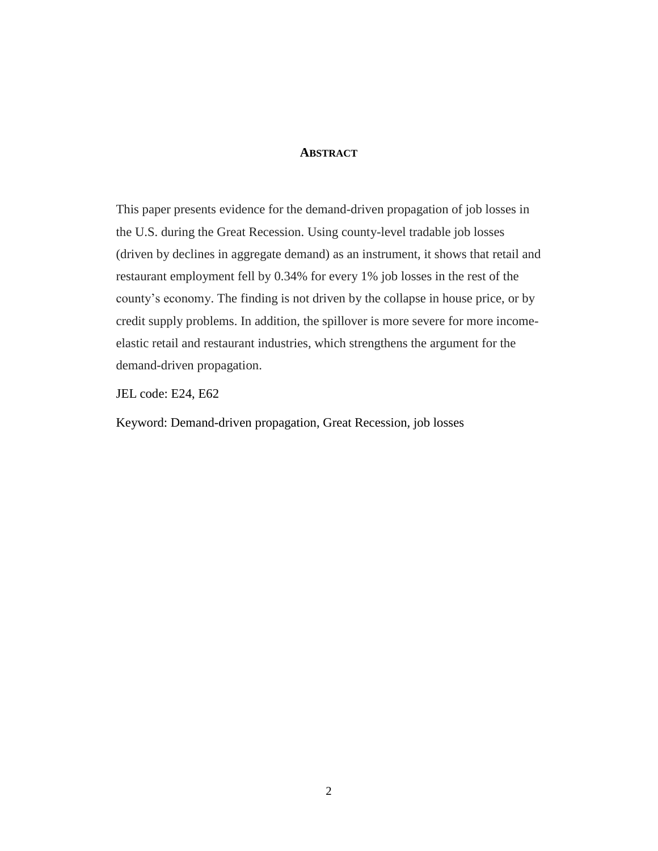### **ABSTRACT**

This paper presents evidence for the demand-driven propagation of job losses in the U.S. during the Great Recession. Using county-level tradable job losses (driven by declines in aggregate demand) as an instrument, it shows that retail and restaurant employment fell by 0.34% for every 1% job losses in the rest of the county's economy. The finding is not driven by the collapse in house price, or by credit supply problems. In addition, the spillover is more severe for more incomeelastic retail and restaurant industries, which strengthens the argument for the demand-driven propagation.

JEL code: E24, E62

Keyword: Demand-driven propagation, Great Recession, job losses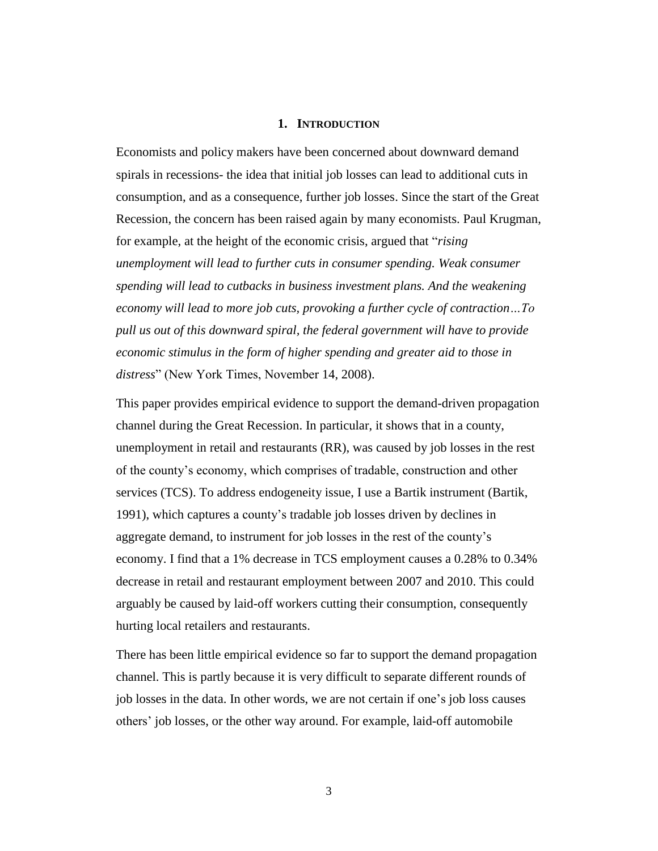#### **1. INTRODUCTION**

Economists and policy makers have been concerned about downward demand spirals in recessions- the idea that initial job losses can lead to additional cuts in consumption, and as a consequence, further job losses. Since the start of the Great Recession, the concern has been raised again by many economists. Paul Krugman, for example, at the height of the economic crisis, argued that "*rising unemployment will lead to further cuts in consumer spending. Weak consumer spending will lead to cutbacks in business investment plans. And the weakening economy will lead to more job cuts, provoking a further cycle of contraction…To pull us out of this downward spiral, the federal government will have to provide economic stimulus in the form of higher spending and greater aid to those in distress*" (New York Times, November 14, 2008).

This paper provides empirical evidence to support the demand-driven propagation channel during the Great Recession. In particular, it shows that in a county, unemployment in retail and restaurants (RR), was caused by job losses in the rest of the county's economy, which comprises of tradable, construction and other services (TCS). To address endogeneity issue, I use a Bartik instrument (Bartik, 1991), which captures a county's tradable job losses driven by declines in aggregate demand, to instrument for job losses in the rest of the county's economy. I find that a 1% decrease in TCS employment causes a 0.28% to 0.34% decrease in retail and restaurant employment between 2007 and 2010. This could arguably be caused by laid-off workers cutting their consumption, consequently hurting local retailers and restaurants.

There has been little empirical evidence so far to support the demand propagation channel. This is partly because it is very difficult to separate different rounds of job losses in the data. In other words, we are not certain if one's job loss causes others' job losses, or the other way around. For example, laid-off automobile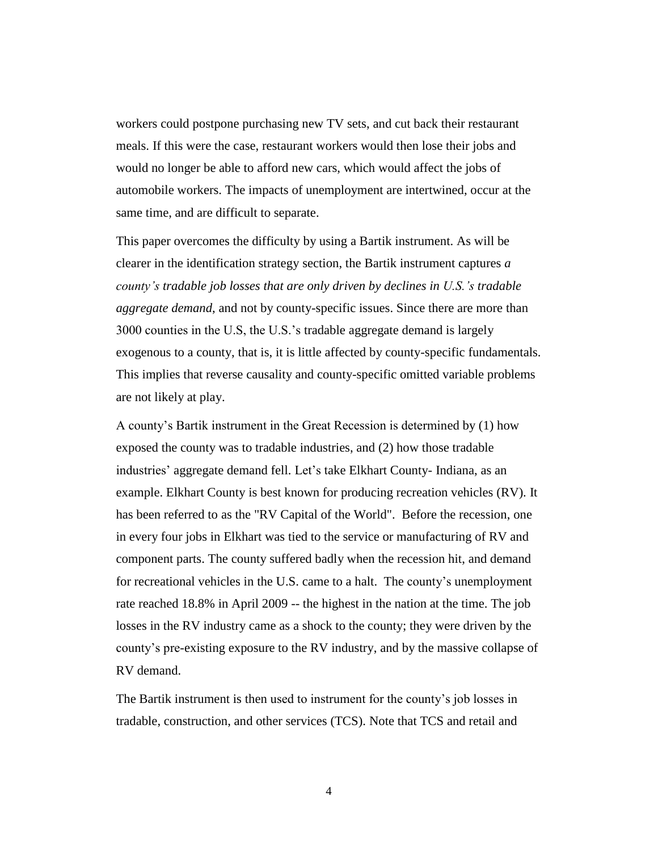workers could postpone purchasing new TV sets, and cut back their restaurant meals. If this were the case, restaurant workers would then lose their jobs and would no longer be able to afford new cars, which would affect the jobs of automobile workers. The impacts of unemployment are intertwined, occur at the same time, and are difficult to separate.

This paper overcomes the difficulty by using a Bartik instrument. As will be clearer in the identification strategy section, the Bartik instrument captures *a county's tradable job losses that are only driven by declines in U.S.'s tradable aggregate demand*, and not by county-specific issues. Since there are more than 3000 counties in the U.S, the U.S.'s tradable aggregate demand is largely exogenous to a county, that is, it is little affected by county-specific fundamentals. This implies that reverse causality and county-specific omitted variable problems are not likely at play.

A county's Bartik instrument in the Great Recession is determined by (1) how exposed the county was to tradable industries, and (2) how those tradable industries' aggregate demand fell. Let's take Elkhart County- Indiana, as an example. Elkhart County is best known for producing recreation vehicles (RV). It has been referred to as the "RV Capital of the World". Before the recession, one in every four jobs in Elkhart was tied to the service or manufacturing of RV and component parts. The county suffered badly when the recession hit, and demand for recreational vehicles in the U.S. came to a halt. The county's unemployment rate reached 18.8% in April 2009 -- the highest in the nation at the time. The job losses in the RV industry came as a shock to the county; they were driven by the county's pre-existing exposure to the RV industry, and by the massive collapse of RV demand.

The Bartik instrument is then used to instrument for the county's job losses in tradable, construction, and other services (TCS). Note that TCS and retail and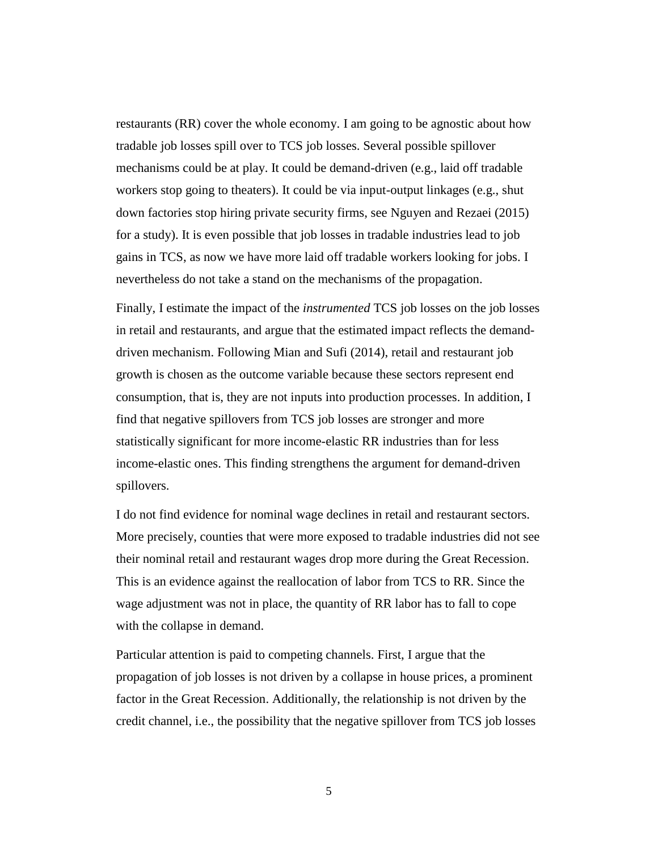restaurants (RR) cover the whole economy. I am going to be agnostic about how tradable job losses spill over to TCS job losses. Several possible spillover mechanisms could be at play. It could be demand-driven (e.g., laid off tradable workers stop going to theaters). It could be via input-output linkages (e.g., shut down factories stop hiring private security firms, see Nguyen and Rezaei (2015) for a study). It is even possible that job losses in tradable industries lead to job gains in TCS, as now we have more laid off tradable workers looking for jobs. I nevertheless do not take a stand on the mechanisms of the propagation.

Finally, I estimate the impact of the *instrumented* TCS job losses on the job losses in retail and restaurants, and argue that the estimated impact reflects the demanddriven mechanism. Following Mian and Sufi (2014), retail and restaurant job growth is chosen as the outcome variable because these sectors represent end consumption, that is, they are not inputs into production processes. In addition, I find that negative spillovers from TCS job losses are stronger and more statistically significant for more income-elastic RR industries than for less income-elastic ones. This finding strengthens the argument for demand-driven spillovers.

I do not find evidence for nominal wage declines in retail and restaurant sectors. More precisely, counties that were more exposed to tradable industries did not see their nominal retail and restaurant wages drop more during the Great Recession. This is an evidence against the reallocation of labor from TCS to RR. Since the wage adjustment was not in place, the quantity of RR labor has to fall to cope with the collapse in demand.

Particular attention is paid to competing channels. First, I argue that the propagation of job losses is not driven by a collapse in house prices, a prominent factor in the Great Recession. Additionally, the relationship is not driven by the credit channel, i.e., the possibility that the negative spillover from TCS job losses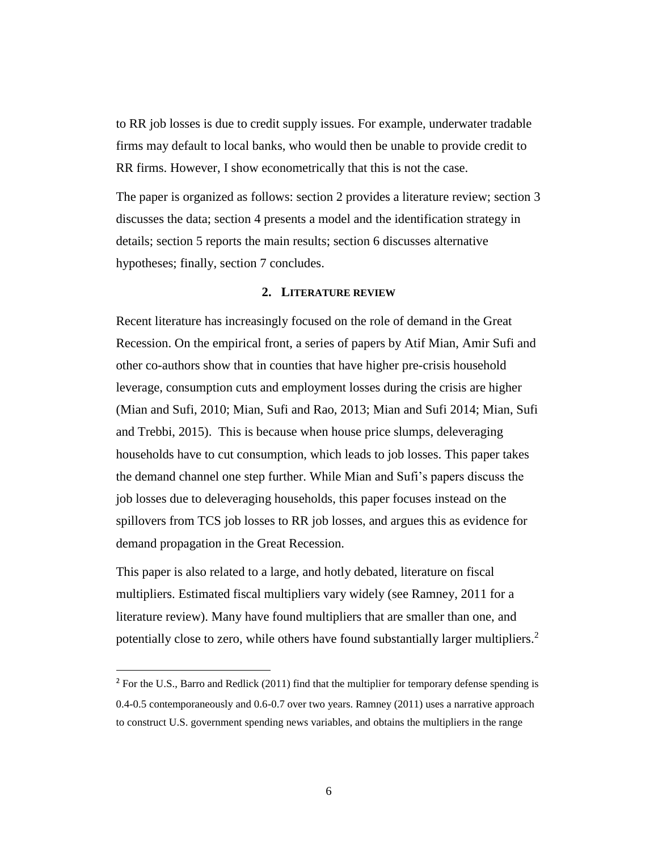to RR job losses is due to credit supply issues. For example, underwater tradable firms may default to local banks, who would then be unable to provide credit to RR firms. However, I show econometrically that this is not the case.

The paper is organized as follows: section 2 provides a literature review; section 3 discusses the data; section 4 presents a model and the identification strategy in details; section 5 reports the main results; section 6 discusses alternative hypotheses; finally, section 7 concludes.

#### **2. LITERATURE REVIEW**

Recent literature has increasingly focused on the role of demand in the Great Recession. On the empirical front, a series of papers by Atif Mian, Amir Sufi and other co-authors show that in counties that have higher pre-crisis household leverage, consumption cuts and employment losses during the crisis are higher (Mian and Sufi, 2010; Mian, Sufi and Rao, 2013; Mian and Sufi 2014; Mian, Sufi and Trebbi, 2015). This is because when house price slumps, deleveraging households have to cut consumption, which leads to job losses. This paper takes the demand channel one step further. While Mian and Sufi's papers discuss the job losses due to deleveraging households, this paper focuses instead on the spillovers from TCS job losses to RR job losses, and argues this as evidence for demand propagation in the Great Recession.

This paper is also related to a large, and hotly debated, literature on fiscal multipliers. Estimated fiscal multipliers vary widely (see Ramney, 2011 for a literature review). Many have found multipliers that are smaller than one, and potentially close to zero, while others have found substantially larger multipliers.<sup>2</sup>

 $\overline{\phantom{a}}$ 

<sup>&</sup>lt;sup>2</sup> For the U.S., Barro and Redlick (2011) find that the multiplier for temporary defense spending is 0.4-0.5 contemporaneously and 0.6-0.7 over two years. Ramney (2011) uses a narrative approach to construct U.S. government spending news variables, and obtains the multipliers in the range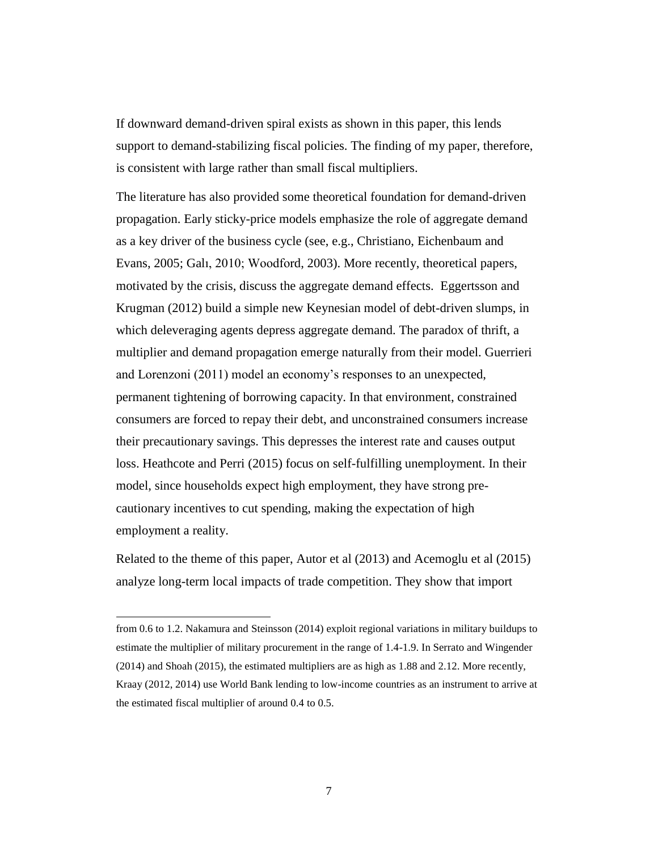If downward demand-driven spiral exists as shown in this paper, this lends support to demand-stabilizing fiscal policies. The finding of my paper, therefore, is consistent with large rather than small fiscal multipliers.

The literature has also provided some theoretical foundation for demand-driven propagation. Early sticky-price models emphasize the role of aggregate demand as a key driver of the business cycle (see, e.g., Christiano, Eichenbaum and Evans, 2005; Galı, 2010; Woodford, 2003). More recently, theoretical papers, motivated by the crisis, discuss the aggregate demand effects. Eggertsson and Krugman (2012) build a simple new Keynesian model of debt-driven slumps, in which deleveraging agents depress aggregate demand. The paradox of thrift, a multiplier and demand propagation emerge naturally from their model. Guerrieri and Lorenzoni (2011) model an economy's responses to an unexpected, permanent tightening of borrowing capacity. In that environment, constrained consumers are forced to repay their debt, and unconstrained consumers increase their precautionary savings. This depresses the interest rate and causes output loss. Heathcote and Perri (2015) focus on self-fulfilling unemployment. In their model, since households expect high employment, they have strong precautionary incentives to cut spending, making the expectation of high employment a reality.

Related to the theme of this paper, Autor et al (2013) and Acemoglu et al (2015) analyze long-term local impacts of trade competition. They show that import

 $\overline{\phantom{a}}$ 

from 0.6 to 1.2. Nakamura and Steinsson (2014) exploit regional variations in military buildups to estimate the multiplier of military procurement in the range of 1.4-1.9. In Serrato and Wingender (2014) and Shoah (2015), the estimated multipliers are as high as 1.88 and 2.12. More recently, Kraay (2012, 2014) use World Bank lending to low-income countries as an instrument to arrive at the estimated fiscal multiplier of around 0.4 to 0.5.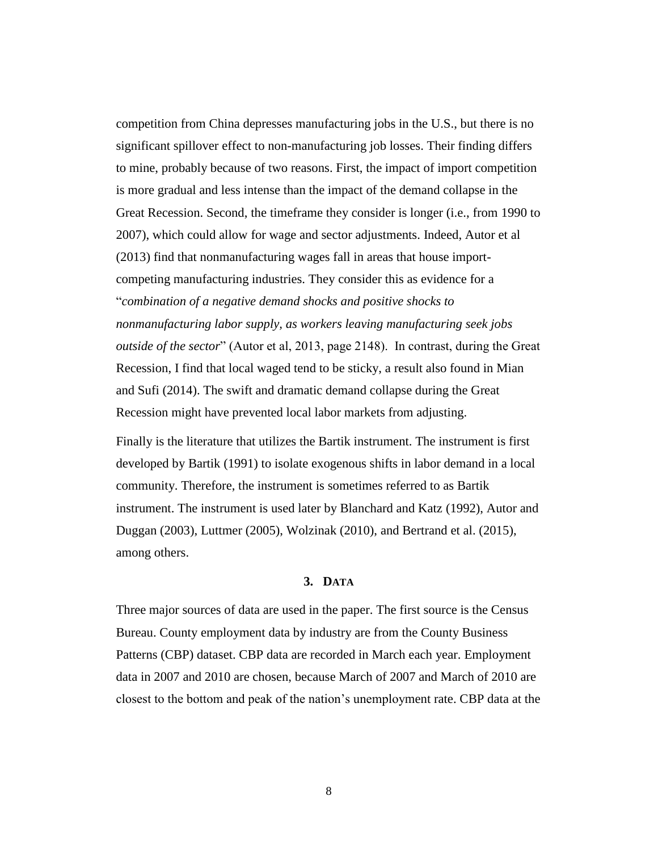competition from China depresses manufacturing jobs in the U.S., but there is no significant spillover effect to non-manufacturing job losses. Their finding differs to mine, probably because of two reasons. First, the impact of import competition is more gradual and less intense than the impact of the demand collapse in the Great Recession. Second, the timeframe they consider is longer (i.e., from 1990 to 2007), which could allow for wage and sector adjustments. Indeed, Autor et al (2013) find that nonmanufacturing wages fall in areas that house importcompeting manufacturing industries. They consider this as evidence for a "*combination of a negative demand shocks and positive shocks to nonmanufacturing labor supply, as workers leaving manufacturing seek jobs outside of the sector*" (Autor et al, 2013, page 2148). In contrast, during the Great Recession, I find that local waged tend to be sticky, a result also found in Mian and Sufi (2014). The swift and dramatic demand collapse during the Great Recession might have prevented local labor markets from adjusting.

Finally is the literature that utilizes the Bartik instrument. The instrument is first developed by Bartik (1991) to isolate exogenous shifts in labor demand in a local community. Therefore, the instrument is sometimes referred to as Bartik instrument. The instrument is used later by Blanchard and Katz (1992), Autor and Duggan (2003), Luttmer (2005), Wolzinak (2010), and Bertrand et al. (2015), among others.

#### **3. DATA**

Three major sources of data are used in the paper. The first source is the Census Bureau. County employment data by industry are from the County Business Patterns (CBP) dataset. CBP data are recorded in March each year. Employment data in 2007 and 2010 are chosen, because March of 2007 and March of 2010 are closest to the bottom and peak of the nation's unemployment rate. CBP data at the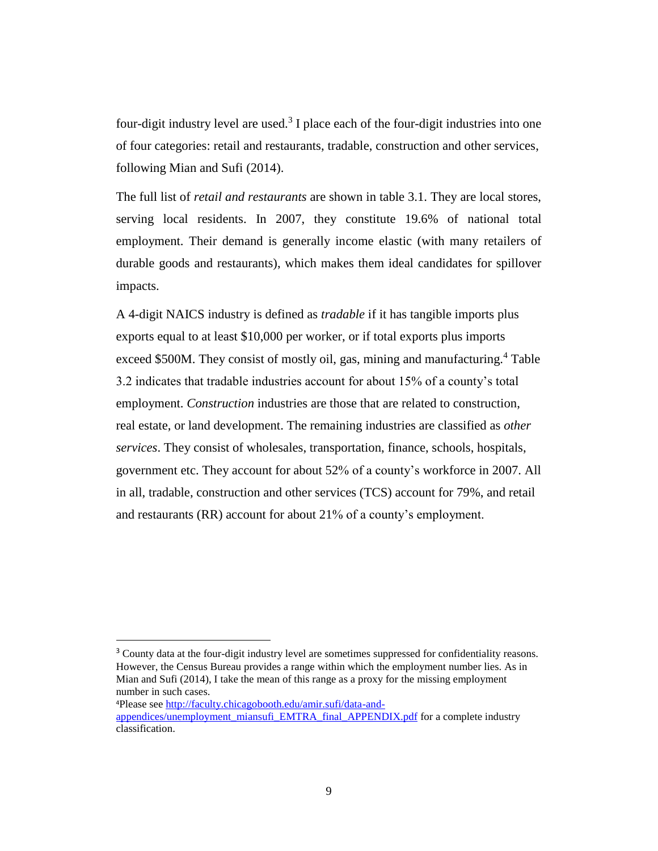four-digit industry level are used.<sup>3</sup> I place each of the four-digit industries into one of four categories: retail and restaurants, tradable, construction and other services, following Mian and Sufi (2014).

The full list of *retail and restaurants* are shown in table 3.1. They are local stores, serving local residents. In 2007, they constitute 19.6% of national total employment. Their demand is generally income elastic (with many retailers of durable goods and restaurants), which makes them ideal candidates for spillover impacts.

A 4-digit NAICS industry is defined as *tradable* if it has tangible imports plus exports equal to at least \$10,000 per worker, or if total exports plus imports exceed \$500M. They consist of mostly oil, gas, mining and manufacturing.<sup>4</sup> Table 3.2 indicates that tradable industries account for about 15% of a county's total employment. *Construction* industries are those that are related to construction, real estate, or land development. The remaining industries are classified as *other services*. They consist of wholesales, transportation, finance, schools, hospitals, government etc. They account for about 52% of a county's workforce in 2007. All in all, tradable, construction and other services (TCS) account for 79%, and retail and restaurants (RR) account for about 21% of a county's employment.

 $\overline{\phantom{a}}$ 

<sup>3</sup> County data at the four-digit industry level are sometimes suppressed for confidentiality reasons. However, the Census Bureau provides a range within which the employment number lies. As in Mian and Sufi (2014), I take the mean of this range as a proxy for the missing employment number in such cases.

<sup>4</sup>Please see [http://faculty.chicagobooth.edu/amir.sufi/data-and-](http://faculty.chicagobooth.edu/amir.sufi/data-and-appendices/unemployment_miansufi_EMTRA_final_APPENDIX.pdf)

[appendices/unemployment\\_miansufi\\_EMTRA\\_final\\_APPENDIX.pdf](http://faculty.chicagobooth.edu/amir.sufi/data-and-appendices/unemployment_miansufi_EMTRA_final_APPENDIX.pdf) for a complete industry classification.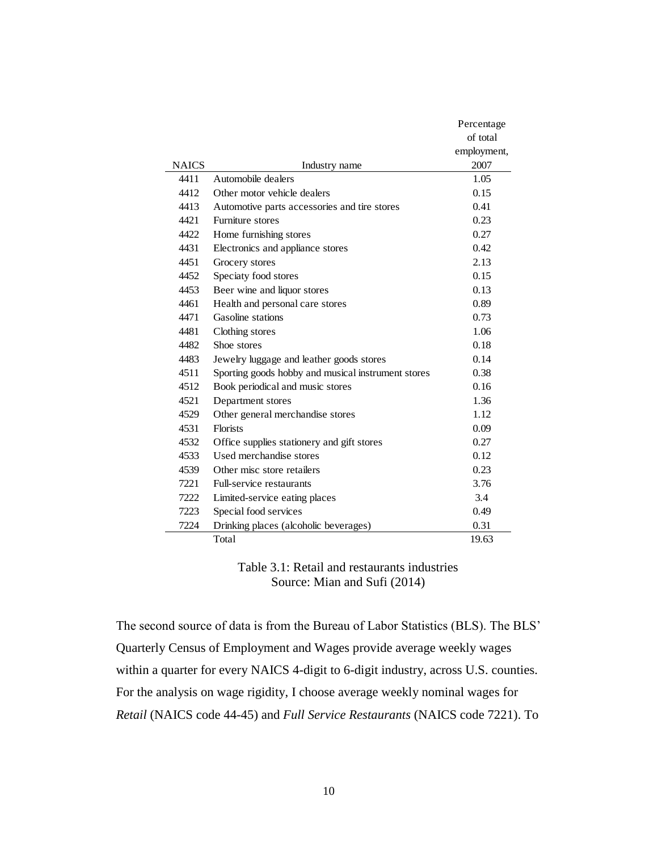|              |                                                    | Percentage  |
|--------------|----------------------------------------------------|-------------|
|              |                                                    | of total    |
|              |                                                    | employment, |
| <b>NAICS</b> | Industry name                                      | 2007        |
| 4411         | Automobile dealers                                 | 1.05        |
| 4412         | Other motor vehicle dealers                        | 0.15        |
| 4413         | Automotive parts accessories and tire stores       | 0.41        |
| 4421         | Furniture stores                                   | 0.23        |
| 4422         | Home furnishing stores                             | 0.27        |
| 4431         | Electronics and appliance stores                   | 0.42        |
| 4451         | Grocery stores                                     | 2.13        |
| 4452         | Speciaty food stores                               | 0.15        |
| 4453         | Beer wine and liquor stores                        | 0.13        |
| 4461         | Health and personal care stores                    | 0.89        |
| 4471         | Gasoline stations                                  | 0.73        |
| 4481         | Clothing stores                                    | 1.06        |
| 4482         | Shoe stores                                        | 0.18        |
| 4483         | Jewelry luggage and leather goods stores           | 0.14        |
| 4511         | Sporting goods hobby and musical instrument stores | 0.38        |
| 4512         | Book periodical and music stores                   | 0.16        |
| 4521         | Department stores                                  | 1.36        |
| 4529         | Other general merchandise stores                   | 1.12        |
| 4531         | <b>Florists</b>                                    | 0.09        |
| 4532         | Office supplies stationery and gift stores         | 0.27        |
| 4533         | Used merchandise stores                            | 0.12        |
| 4539         | Other misc store retailers                         | 0.23        |
| 7221         | Full-service restaurants                           | 3.76        |
| 7222         | Limited-service eating places                      | 3.4         |
| 7223         | Special food services                              | 0.49        |
| 7224         | Drinking places (alcoholic beverages)              | 0.31        |
|              | Total                                              | 19.63       |

Table 3.1: Retail and restaurants industries Source: Mian and Sufi (2014)

The second source of data is from the Bureau of Labor Statistics (BLS). The BLS' Quarterly Census of Employment and Wages provide average weekly wages within a quarter for every NAICS 4-digit to 6-digit industry, across U.S. counties. For the analysis on wage rigidity, I choose average weekly nominal wages for *Retail* (NAICS code 44-45) and *Full Service Restaurants* (NAICS code 7221). To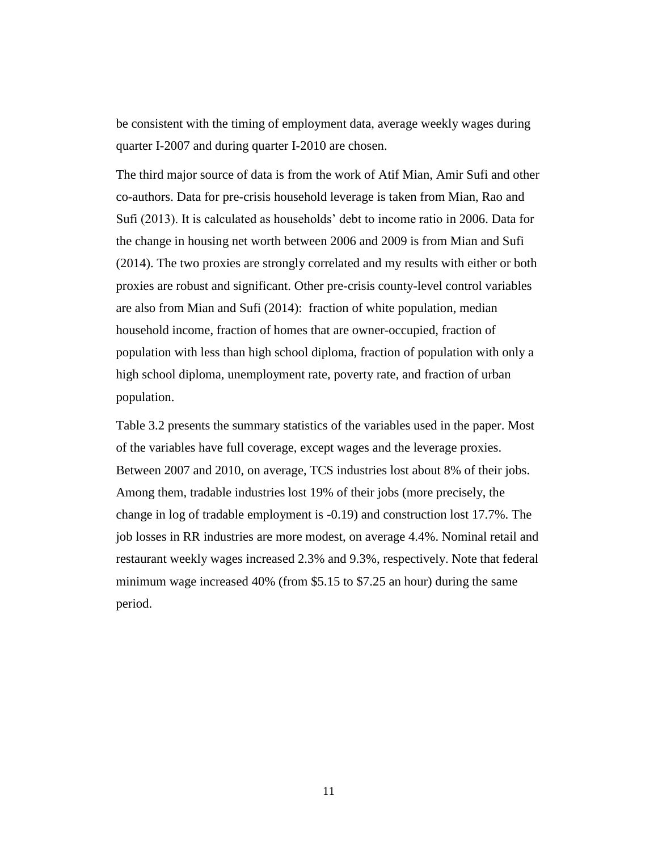be consistent with the timing of employment data, average weekly wages during quarter I-2007 and during quarter I-2010 are chosen.

The third major source of data is from the work of Atif Mian, Amir Sufi and other co-authors. Data for pre-crisis household leverage is taken from Mian, Rao and Sufi (2013). It is calculated as households' debt to income ratio in 2006. Data for the change in housing net worth between 2006 and 2009 is from Mian and Sufi (2014). The two proxies are strongly correlated and my results with either or both proxies are robust and significant. Other pre-crisis county-level control variables are also from Mian and Sufi (2014): fraction of white population, median household income, fraction of homes that are owner-occupied, fraction of population with less than high school diploma, fraction of population with only a high school diploma, unemployment rate, poverty rate, and fraction of urban population.

Table 3.2 presents the summary statistics of the variables used in the paper. Most of the variables have full coverage, except wages and the leverage proxies. Between 2007 and 2010, on average, TCS industries lost about 8% of their jobs. Among them, tradable industries lost 19% of their jobs (more precisely, the change in log of tradable employment is -0.19) and construction lost 17.7%. The job losses in RR industries are more modest, on average 4.4%. Nominal retail and restaurant weekly wages increased 2.3% and 9.3%, respectively. Note that federal minimum wage increased 40% (from \$5.15 to \$7.25 an hour) during the same period.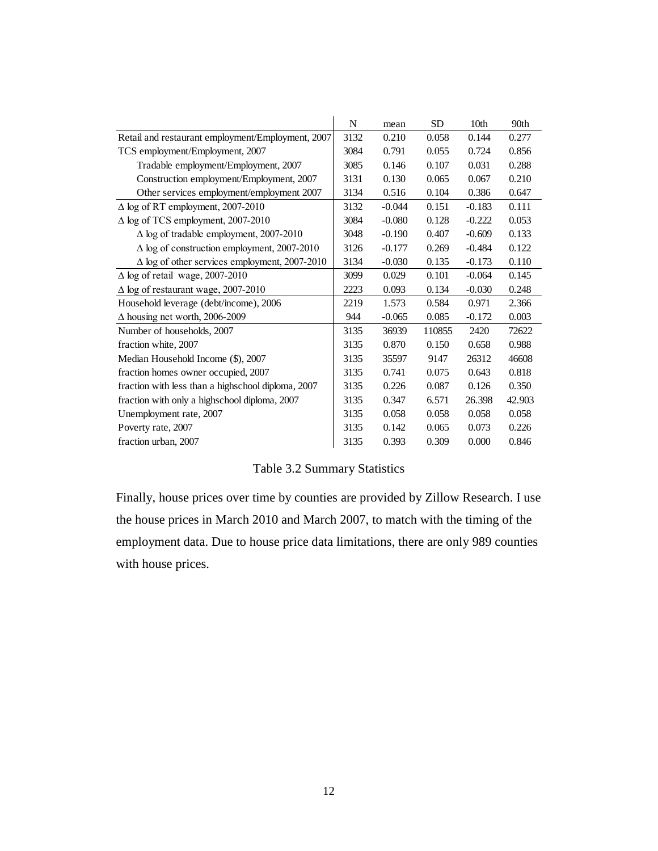|                                                      | N    | mean     | <b>SD</b> | 10 <sub>th</sub> | 90th   |
|------------------------------------------------------|------|----------|-----------|------------------|--------|
| Retail and restaurant employment/Employment, 2007    | 3132 | 0.210    | 0.058     | 0.144            | 0.277  |
| TCS employment/Employment, 2007                      | 3084 | 0.791    | 0.055     | 0.724            | 0.856  |
| Tradable employment/Employment, 2007                 | 3085 | 0.146    | 0.107     | 0.031            | 0.288  |
| Construction employment/Employment, 2007             | 3131 | 0.130    | 0.065     | 0.067            | 0.210  |
| Other services employment/employment 2007            | 3134 | 0.516    | 0.104     | 0.386            | 0.647  |
| $\Delta$ log of RT employment, 2007-2010             | 3132 | $-0.044$ | 0.151     | $-0.183$         | 0.111  |
| $\Delta$ log of TCS employment, 2007-2010            | 3084 | $-0.080$ | 0.128     | $-0.222$         | 0.053  |
| $\Delta$ log of tradable employment, 2007-2010       | 3048 | $-0.190$ | 0.407     | $-0.609$         | 0.133  |
| $\Delta$ log of construction employment, 2007-2010   | 3126 | $-0.177$ | 0.269     | $-0.484$         | 0.122  |
| $\Delta$ log of other services employment, 2007-2010 | 3134 | $-0.030$ | 0.135     | $-0.173$         | 0.110  |
| $\Delta$ log of retail wage, 2007-2010               | 3099 | 0.029    | 0.101     | $-0.064$         | 0.145  |
| $\Delta$ log of restaurant wage, 2007-2010           | 2223 | 0.093    | 0.134     | $-0.030$         | 0.248  |
| Household leverage (debt/income), 2006               | 2219 | 1.573    | 0.584     | 0.971            | 2.366  |
| $\Delta$ housing net worth, 2006-2009                | 944  | $-0.065$ | 0.085     | $-0.172$         | 0.003  |
| Number of households, 2007                           | 3135 | 36939    | 110855    | 2420             | 72622  |
| fraction white, 2007                                 | 3135 | 0.870    | 0.150     | 0.658            | 0.988  |
| Median Household Income (\$), 2007                   | 3135 | 35597    | 9147      | 26312            | 46608  |
| fraction homes owner occupied, 2007                  | 3135 | 0.741    | 0.075     | 0.643            | 0.818  |
| fraction with less than a highschool diploma, 2007   | 3135 | 0.226    | 0.087     | 0.126            | 0.350  |
| fraction with only a highschool diploma, 2007        | 3135 | 0.347    | 6.571     | 26.398           | 42.903 |
| Unemployment rate, 2007                              | 3135 | 0.058    | 0.058     | 0.058            | 0.058  |
| Poverty rate, 2007                                   | 3135 | 0.142    | 0.065     | 0.073            | 0.226  |
| fraction urban, 2007                                 | 3135 | 0.393    | 0.309     | 0.000            | 0.846  |

Table 3.2 Summary Statistics

Finally, house prices over time by counties are provided by Zillow Research. I use the house prices in March 2010 and March 2007, to match with the timing of the employment data. Due to house price data limitations, there are only 989 counties with house prices.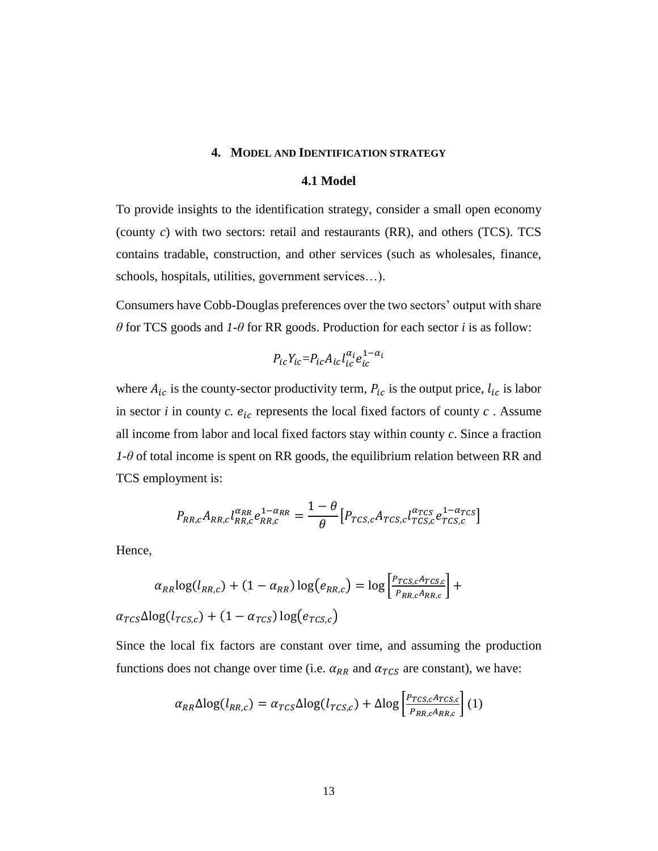## **4. MODEL AND IDENTIFICATION STRATEGY**

#### **4.1 Model**

To provide insights to the identification strategy, consider a small open economy (county *c*) with two sectors: retail and restaurants (RR), and others (TCS). TCS contains tradable, construction, and other services (such as wholesales, finance, schools, hospitals, utilities, government services…).

Consumers have Cobb-Douglas preferences over the two sectors' output with share *θ* for TCS goods and *1*-*θ* for RR goods. Production for each sector *i* is as follow:

$$
P_{ic}Y_{ic} = P_{ic}A_{ic}l_{ic}^{\alpha_i}e_{ic}^{1-\alpha_i}
$$

where  $A_{ic}$  is the county-sector productivity term,  $P_{ic}$  is the output price,  $l_{ic}$  is labor in sector *i* in county *c*.  $e_{ic}$  represents the local fixed factors of county *c*. Assume all income from labor and local fixed factors stay within county *c*. Since a fraction *1*-*θ* of total income is spent on RR goods, the equilibrium relation between RR and TCS employment is:

$$
P_{RR,c}A_{RR,c}l_{RR,c}^{\alpha_{RR}}e_{RR,c}^{1-\alpha_{RR}} = \frac{1-\theta}{\theta}\left[P_{TCS,c}A_{TCS,c}l_{TCS,c}^{\alpha_{TCS}}e_{TCS,c}^{1-\alpha_{TCS}}\right]
$$

Hence,

$$
\alpha_{RR} \log(l_{RR,c}) + (1 - \alpha_{RR}) \log(e_{RR,c}) = \log \left[ \frac{P_{TCS,c} A_{TCS,c}}{P_{RR,c} A_{RR,c}} \right] + \alpha_{TCS} \Delta \log(l_{TCS,c}) + (1 - \alpha_{TCS}) \log(e_{TCS,c})
$$

Since the local fix factors are constant over time, and assuming the production functions does not change over time (i.e.  $\alpha_{RR}$  and  $\alpha_{TCS}$  are constant), we have:

$$
\alpha_{RR}\Delta \log(l_{RR,c}) = \alpha_{TCS}\Delta \log(l_{TCS,c}) + \Delta \log \left[\frac{P_{TCS,c}A_{TCS,c}}{P_{RR,c}A_{RR,c}}\right](1)
$$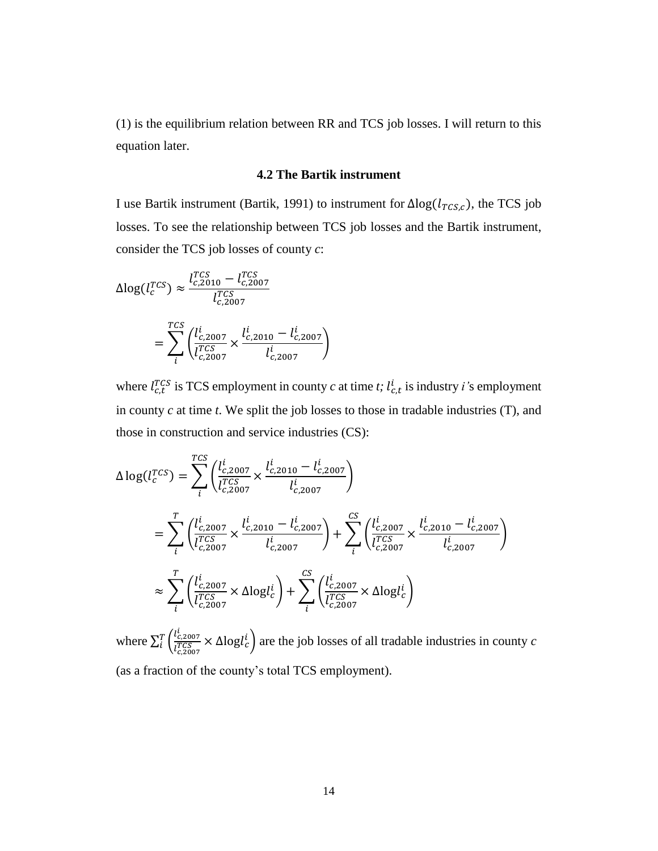(1) is the equilibrium relation between RR and TCS job losses. I will return to this equation later.

#### **4.2 The Bartik instrument**

I use Bartik instrument (Bartik, 1991) to instrument for  $\Delta \log(l_{TCS,C})$ , the TCS job losses. To see the relationship between TCS job losses and the Bartik instrument, consider the TCS job losses of county *c*:

$$
\Delta \log(l_c^{TCS}) \approx \frac{l_{c,2010}^{TCS} - l_{c,2007}^{TCS}}{l_{c,2007}^{TCS}}
$$

$$
= \sum_{i}^{TCS} \left( \frac{l_{c,2007}^i}{l_{c,2007}^{TCS}} \times \frac{l_{c,2010}^i - l_{c,2007}^i}{l_{c,2007}^i} \right)
$$

where  $l_{c,t}^{TCS}$  is TCS employment in county *c* at time *t*;  $l_{c,t}^{i}$  is industry *i*'s employment in county *c* at time *t*. We split the job losses to those in tradable industries (T), and those in construction and service industries (CS):

$$
\Delta \log(l_c^{TCS}) = \sum_{i}^{TCS} \left( \frac{l_{c,2007}^i}{l_{c,2007}^{TCS}} \times \frac{l_{c,2010}^i - l_{c,2007}^i}{l_{c,2007}^i} \right)
$$
\n
$$
= \sum_{i}^{T} \left( \frac{l_{c,2007}^i}{l_{c,2007}^{TCS}} \times \frac{l_{c,2010}^i - l_{c,2007}^i}{l_{c,2007}^i} \right) + \sum_{i}^{CS} \left( \frac{l_{c,2007}^i}{l_{c,2007}^{TCS}} \times \frac{l_{c,2010}^i - l_{c,2007}^i}{l_{c,2007}^i} \right)
$$
\n
$$
\approx \sum_{i}^{T} \left( \frac{l_{c,2007}^i}{l_{c,2007}^{TCS}} \times \Delta \log l_c^i \right) + \sum_{i}^{CS} \left( \frac{l_{c,2007}^i}{l_{c,2007}^{TCS}} \times \Delta \log l_c^i \right)
$$

where  $\sum_{i}^{T} \left( \frac{l_{c,2007}^{i}}{i T C S} \right)$  $\int_{i}^{T} \left( \frac{V_{c,2007}}{V_{c,2007}} \times \Delta \log l_c \right)$  are the job losses of all tradable industries in county *c* (as a fraction of the county's total TCS employment).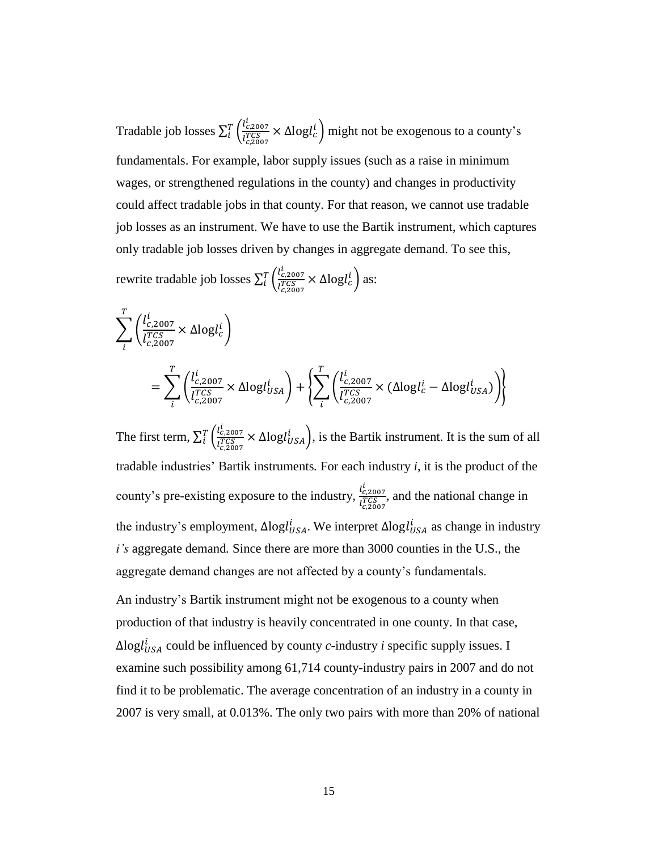Tradable job losses  $\sum_{i}^{T} \left( \frac{l_{c,2007}^{i}}{\sqrt{T} C S} \right)$  $\int_{i}^{T} \left( \frac{l_{c,2007}^{2}}{l_{c,2007}^{TCS}} \times \Delta \log l_{c}^{i} \right)$  might not be exogenous to a county's fundamentals. For example, labor supply issues (such as a raise in minimum wages, or strengthened regulations in the county) and changes in productivity could affect tradable jobs in that county. For that reason, we cannot use tradable job losses as an instrument. We have to use the Bartik instrument, which captures only tradable job losses driven by changes in aggregate demand. To see this,

rewrite tradable job losses  $\sum_{i}^{T} \left( \frac{l_{c,2007}^{i}}{TCS} \right)$  $\int_{i}^{T} \left( \frac{t_{c,2007}}{t_{c,2007}^{TCS}} \times \Delta \log l_c^i \right)$  as:

$$
\sum_{i}^{T} \left( \frac{l_{c,2007}^{i}}{l_{c,2007}^{TCS}} \times \Delta \log l_{c}^{i} \right)
$$
\n
$$
= \sum_{i}^{T} \left( \frac{l_{c,2007}^{i}}{l_{c,2007}^{TCS}} \times \Delta \log l_{USA}^{i} \right) + \left\{ \sum_{i}^{T} \left( \frac{l_{c,2007}^{i}}{l_{c,2007}^{TCS}} \times (\Delta \log l_{c}^{i} - \Delta \log l_{USA}^{i}) \right) \right\}
$$

The first term,  $\sum_{i}^{T} \left( \frac{l_{c,2007}^{i}}{TCS} \right)$  $\int_{i}^{T} \left( \frac{l_{c,2007}^{2}}{l_{c,2007}^{TCS}} \times \Delta \log l_{USA}^{i} \right)$ , is the Bartik instrument. It is the sum of all tradable industries' Bartik instruments*.* For each industry *i*, it is the product of the county's pre-existing exposure to the industry,  $\frac{l_{c,2007}^i}{l_{c,2007}^i}$  $\frac{r_{c,2007}}{r_{c,2007}^{TCS}}$ , and the national change in the industry's employment,  $\Delta$ logl $_{USA}^{i}$ . We interpret  $\Delta$ logl $_{USA}^{i}$  as change in industry *i's* aggregate demand*.* Since there are more than 3000 counties in the U.S., the aggregate demand changes are not affected by a county's fundamentals.

An industry's Bartik instrument might not be exogenous to a county when production of that industry is heavily concentrated in one county. In that case,  $\Delta$ log $l_{USA}^{i}$  could be influenced by county *c*-industry *i* specific supply issues. I examine such possibility among 61,714 county-industry pairs in 2007 and do not find it to be problematic. The average concentration of an industry in a county in 2007 is very small, at 0.013%. The only two pairs with more than 20% of national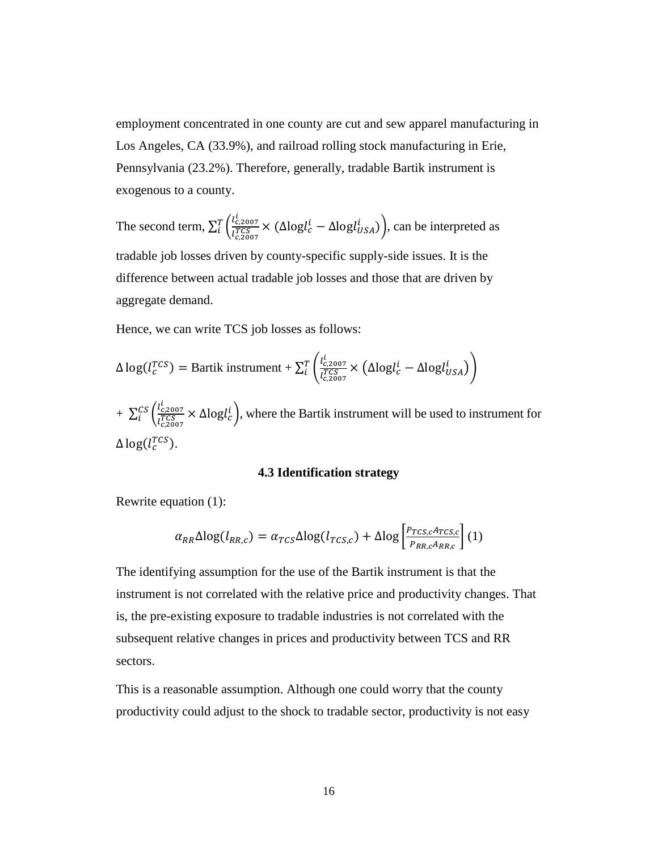employment concentrated in one county are cut and sew apparel manufacturing in Los Angeles, CA (33.9%), and railroad rolling stock manufacturing in Erie, Pennsylvania (23.2%). Therefore, generally, tradable Bartik instrument is exogenous to a county.

The second term,  $\sum_{i}^{T} \left( \frac{l_{c,2007}^{i}}{i T C S} \right)$  $\int_{i}^{T} \left( \frac{l_{c,2007}^{2}}{l_{c,2007}^{2}} \times (\Delta \log l_{c}^{i} - \Delta \log l_{USA}^{i}) \right)$ , can be interpreted as tradable job losses driven by county-specific supply-side issues. It is the difference between actual tradable job losses and those that are driven by aggregate demand.

Hence, we can write TCS job losses as follows:

$$
\Delta \log(l_c^{TCS}) = \text{Bartik instrument} + \sum_{i}^{T} \left( \frac{l_{c,2007}^i}{l_{c,2007}^{TCS}} \times \left( \Delta \log l_c^i - \Delta \log l_{USA}^i \right) \right)
$$

+  $\sum_{i}^{CS} \left( \frac{l_{c,2007}^{i}}{i T C S} \right)$  $\frac{cS}{i} \left( \frac{v_{c,2007}}{l_{c,2007}} \times \Delta \log l_c \right)$ , where the Bartik instrument will be used to instrument for  $\Delta$  log( $l_c^{TCS}$ ).

# **4.3 Identification strategy**

Rewrite equation (1):

$$
\alpha_{RR} \Delta \log(l_{RR,c}) = \alpha_{TCS} \Delta \log(l_{TCS,c}) + \Delta \log \left[ \frac{P_{TCS,c} A_{TCS,c}}{P_{RR,c} A_{RR,c}} \right] (1)
$$

The identifying assumption for the use of the Bartik instrument is that the instrument is not correlated with the relative price and productivity changes. That is, the pre-existing exposure to tradable industries is not correlated with the subsequent relative changes in prices and productivity between TCS and RR sectors.

This is a reasonable assumption. Although one could worry that the county productivity could adjust to the shock to tradable sector, productivity is not easy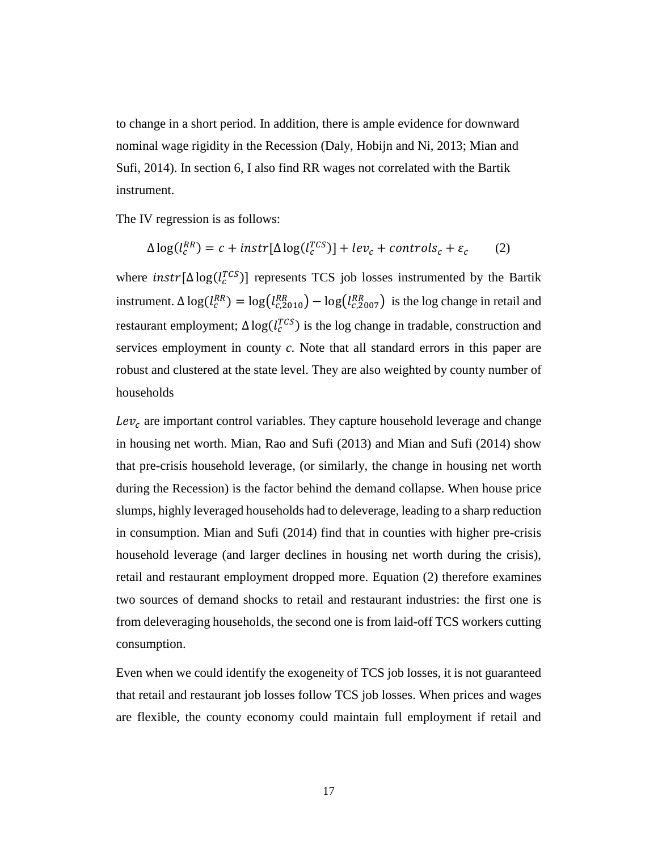to change in a short period. In addition, there is ample evidence for downward nominal wage rigidity in the Recession (Daly, Hobijn and Ni, 2013; Mian and Sufi, 2014). In section 6, I also find RR wages not correlated with the Bartik instrument.

The IV regression is as follows:

$$
\Delta \log(l_c^{RR}) = c + instr[\Delta \log(l_c^{TCS})] + lev_c + controls_c + \varepsilon_c \tag{2}
$$

where  $instr[\Delta log(l_c^{TCS})]$  represents TCS job losses instrumented by the Bartik instrument.  $\Delta \log(l_c^{RR}) = \log(l_{c,2010}^{RR}) - \log(l_{c,2007}^{RR})$  is the log change in retail and restaurant employment;  $\Delta \log(l_c^{TCS})$  is the log change in tradable, construction and services employment in county *c.* Note that all standard errors in this paper are robust and clustered at the state level. They are also weighted by county number of households

 $Lev_c$  are important control variables. They capture household leverage and change in housing net worth. Mian, Rao and Sufi (2013) and Mian and Sufi (2014) show that pre-crisis household leverage, (or similarly, the change in housing net worth during the Recession) is the factor behind the demand collapse. When house price slumps, highly leveraged households had to deleverage, leading to a sharp reduction in consumption. Mian and Sufi (2014) find that in counties with higher pre-crisis household leverage (and larger declines in housing net worth during the crisis), retail and restaurant employment dropped more. Equation (2) therefore examines two sources of demand shocks to retail and restaurant industries: the first one is from deleveraging households, the second one is from laid-off TCS workers cutting consumption.

Even when we could identify the exogeneity of TCS job losses, it is not guaranteed that retail and restaurant job losses follow TCS job losses. When prices and wages are flexible, the county economy could maintain full employment if retail and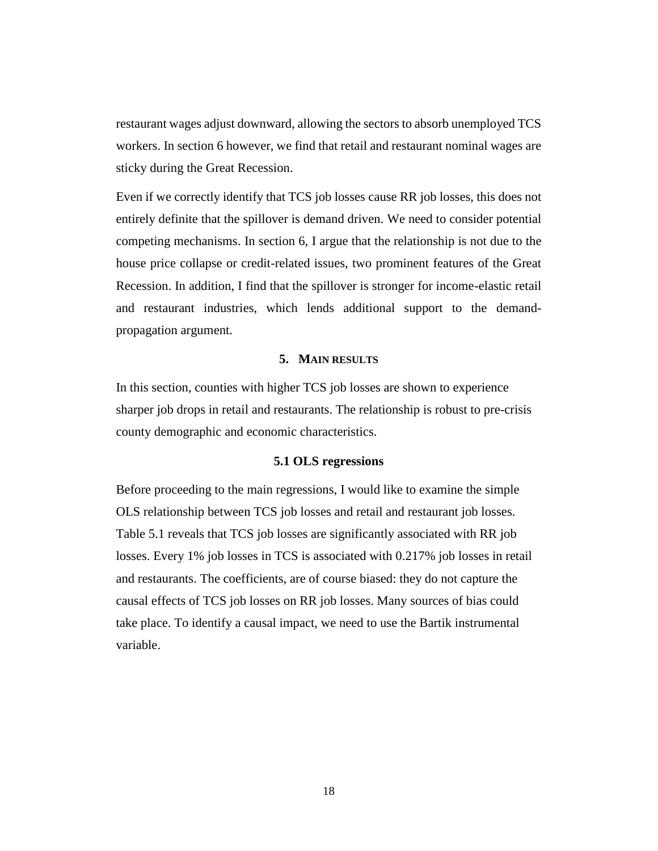restaurant wages adjust downward, allowing the sectors to absorb unemployed TCS workers. In section 6 however, we find that retail and restaurant nominal wages are sticky during the Great Recession.

Even if we correctly identify that TCS job losses cause RR job losses, this does not entirely definite that the spillover is demand driven. We need to consider potential competing mechanisms. In section 6, I argue that the relationship is not due to the house price collapse or credit-related issues, two prominent features of the Great Recession. In addition, I find that the spillover is stronger for income-elastic retail and restaurant industries, which lends additional support to the demandpropagation argument.

#### **5. MAIN RESULTS**

In this section, counties with higher TCS job losses are shown to experience sharper job drops in retail and restaurants. The relationship is robust to pre-crisis county demographic and economic characteristics.

#### **5.1 OLS regressions**

Before proceeding to the main regressions, I would like to examine the simple OLS relationship between TCS job losses and retail and restaurant job losses. Table 5.1 reveals that TCS job losses are significantly associated with RR job losses. Every 1% job losses in TCS is associated with 0.217% job losses in retail and restaurants. The coefficients, are of course biased: they do not capture the causal effects of TCS job losses on RR job losses. Many sources of bias could take place. To identify a causal impact, we need to use the Bartik instrumental variable.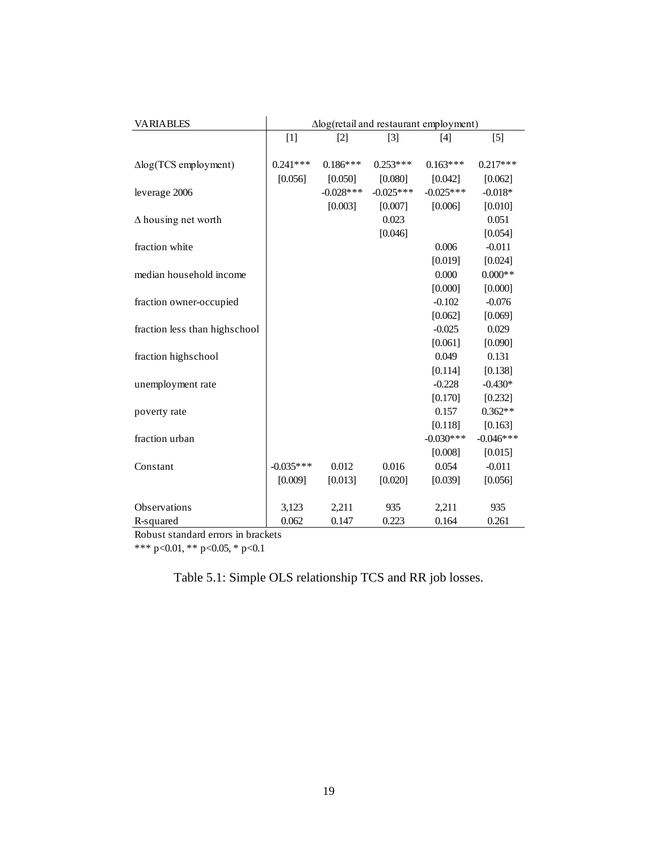| <b>VARIABLES</b>              | $\Delta$ log(retail and restaurant employment) |                   |             |             |             |
|-------------------------------|------------------------------------------------|-------------------|-------------|-------------|-------------|
|                               | $[1]$                                          | $\lceil 2 \rceil$ | $[3]$       | [4]         | $[5]$       |
|                               |                                                |                   |             |             |             |
| $\Delta$ log(TCS employment)  | $0.241***$                                     | $0.186***$        | $0.253***$  | $0.163***$  | $0.217***$  |
|                               | [0.056]                                        | [0.050]           | [0.080]     | [0.042]     | [0.062]     |
| leverage 2006                 |                                                | $-0.028***$       | $-0.025***$ | $-0.025***$ | $-0.018*$   |
|                               |                                                | [0.003]           | [0.007]     | [0.006]     | [0.010]     |
| $\Delta$ housing net worth    |                                                |                   | 0.023       |             | 0.051       |
|                               |                                                |                   | [0.046]     |             | [0.054]     |
| fraction white                |                                                |                   |             | 0.006       | $-0.011$    |
|                               |                                                |                   |             | [0.019]     | [0.024]     |
| median household income       |                                                |                   |             | 0.000       | $0.000**$   |
|                               |                                                |                   |             | [0.000]     | [0.000]     |
| fraction owner-occupied       |                                                |                   |             | $-0.102$    | $-0.076$    |
|                               |                                                |                   |             | [0.062]     | [0.069]     |
| fraction less than highschool |                                                |                   |             | $-0.025$    | 0.029       |
|                               |                                                |                   |             | [0.061]     | [0.090]     |
| fraction highschool           |                                                |                   |             | 0.049       | 0.131       |
|                               |                                                |                   |             | [0.114]     | [0.138]     |
| unemployment rate             |                                                |                   |             | $-0.228$    | $-0.430*$   |
|                               |                                                |                   |             | [0.170]     | [0.232]     |
| poverty rate                  |                                                |                   |             | 0.157       | $0.362**$   |
|                               |                                                |                   |             | [0.118]     | [0.163]     |
| fraction urban                |                                                |                   |             | $-0.030***$ | $-0.046***$ |
|                               |                                                |                   |             | [0.008]     | [0.015]     |
| Constant                      | $-0.035***$                                    | 0.012             | 0.016       | 0.054       | $-0.011$    |
|                               | [0.009]                                        | [0.013]           | [0.020]     | [0.039]     | [0.056]     |
|                               |                                                |                   |             |             |             |
| Observations                  | 3,123                                          | 2,211             | 935         | 2,211       | 935         |
| R-squared                     | 0.062                                          | 0.147             | 0.223       | 0.164       | 0.261       |

Robust standard errors in brackets

\*\*\* p<0.01, \*\* p<0.05, \* p<0.1

Table 5.1: Simple OLS relationship TCS and RR job losses.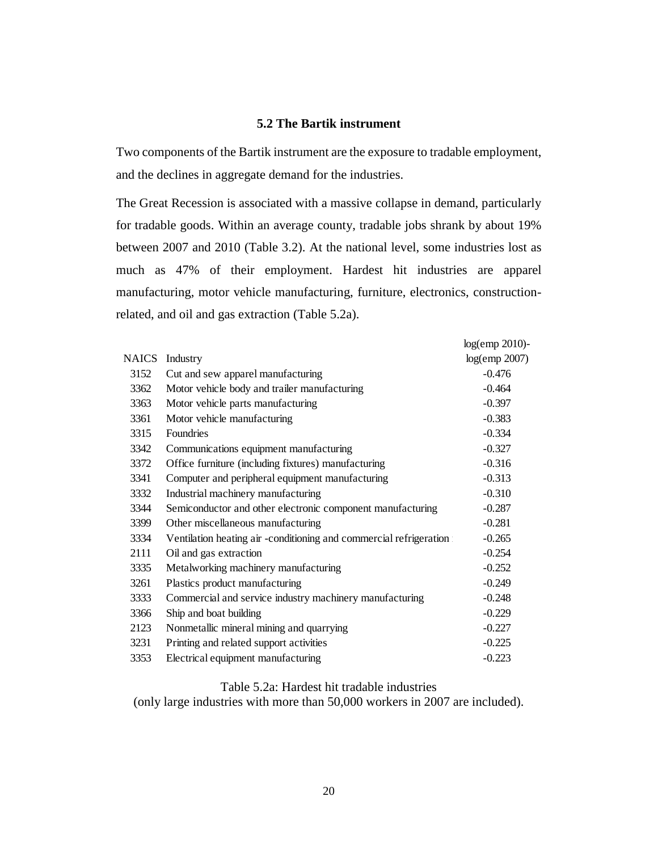# **5.2 The Bartik instrument**

Two components of the Bartik instrument are the exposure to tradable employment, and the declines in aggregate demand for the industries.

The Great Recession is associated with a massive collapse in demand, particularly for tradable goods. Within an average county, tradable jobs shrank by about 19% between 2007 and 2010 (Table 3.2). At the national level, some industries lost as much as 47% of their employment. Hardest hit industries are apparel manufacturing, motor vehicle manufacturing, furniture, electronics, constructionrelated, and oil and gas extraction (Table 5.2a).

|       |                                                                    | $log$ (emp 2010)- |
|-------|--------------------------------------------------------------------|-------------------|
| NAICS | Industry                                                           | $log$ (emp 2007)  |
| 3152  | Cut and sew apparel manufacturing                                  | $-0.476$          |
| 3362  | Motor vehicle body and trailer manufacturing                       | $-0.464$          |
| 3363  | Motor vehicle parts manufacturing                                  | $-0.397$          |
| 3361  | Motor vehicle manufacturing                                        | $-0.383$          |
| 3315  | <b>Foundries</b>                                                   | $-0.334$          |
| 3342  | Communications equipment manufacturing                             | $-0.327$          |
| 3372  | Office furniture (including fixtures) manufacturing                | $-0.316$          |
| 3341  | Computer and peripheral equipment manufacturing                    | $-0.313$          |
| 3332  | Industrial machinery manufacturing                                 | $-0.310$          |
| 3344  | Semiconductor and other electronic component manufacturing         | $-0.287$          |
| 3399  | Other miscellaneous manufacturing                                  | $-0.281$          |
| 3334  | Ventilation heating air -conditioning and commercial refrigeration | $-0.265$          |
| 2111  | Oil and gas extraction                                             | $-0.254$          |
| 3335  | Metalworking machinery manufacturing                               | $-0.252$          |
| 3261  | Plastics product manufacturing                                     | $-0.249$          |
| 3333  | Commercial and service industry machinery manufacturing            | $-0.248$          |
| 3366  | Ship and boat building                                             | $-0.229$          |
| 2123  | Nonmetallic mineral mining and quarrying                           | $-0.227$          |
| 3231  | Printing and related support activities                            | $-0.225$          |
| 3353  | Electrical equipment manufacturing                                 | $-0.223$          |

## Table 5.2a: Hardest hit tradable industries

(only large industries with more than 50,000 workers in 2007 are included).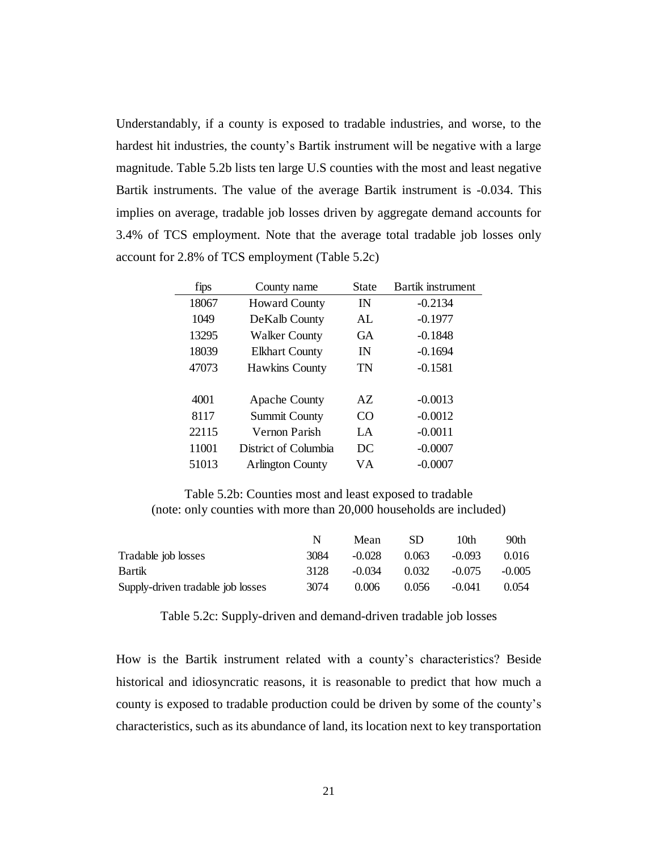Understandably, if a county is exposed to tradable industries, and worse, to the hardest hit industries, the county's Bartik instrument will be negative with a large magnitude. Table 5.2b lists ten large U.S counties with the most and least negative Bartik instruments. The value of the average Bartik instrument is -0.034. This implies on average, tradable job losses driven by aggregate demand accounts for 3.4% of TCS employment. Note that the average total tradable job losses only account for 2.8% of TCS employment (Table 5.2c)

| fips  | County name             | <b>State</b> | <b>Bartik instrument</b> |
|-------|-------------------------|--------------|--------------------------|
| 18067 | <b>Howard County</b>    | IN           | $-0.2134$                |
| 1049  | De Kalb County          | AL           | $-0.1977$                |
| 13295 | <b>Walker County</b>    | <b>GA</b>    | $-0.1848$                |
| 18039 | <b>Elkhart County</b>   | IN           | $-0.1694$                |
| 47073 | <b>Hawkins County</b>   | TN           | $-0.1581$                |
|       |                         |              |                          |
| 4001  | <b>Apache County</b>    | AZ.          | $-0.0013$                |
| 8117  | <b>Summit County</b>    | CO           | $-0.0012$                |
| 22115 | Vernon Parish           | $L^A$        | $-0.0011$                |
| 11001 | District of Columbia    | DC           | $-0.0007$                |
| 51013 | <b>Arlington County</b> | VА           | $-0.0007$                |

Table 5.2b: Counties most and least exposed to tradable (note: only counties with more than 20,000 households are included)

|                                   |      | Mean     | SD    | 10th     | 90th     |
|-----------------------------------|------|----------|-------|----------|----------|
| Tradable job losses               | 3084 | $-0.028$ | 0.063 | $-0.093$ | 0.016    |
| Bartik                            | 3128 | $-0.034$ | 0.032 | $-0.075$ | $-0.005$ |
| Supply-driven tradable job losses | 3074 | 0.006    | 0.056 | $-0.041$ | 0.054    |

Table 5.2c: Supply-driven and demand-driven tradable job losses

How is the Bartik instrument related with a county's characteristics? Beside historical and idiosyncratic reasons, it is reasonable to predict that how much a county is exposed to tradable production could be driven by some of the county's characteristics, such as its abundance of land, its location next to key transportation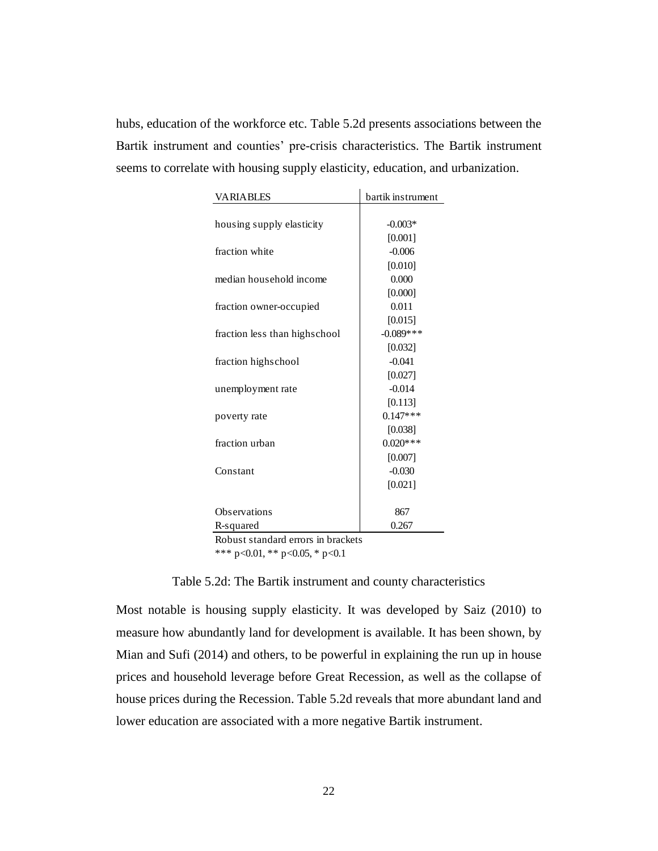hubs, education of the workforce etc. Table 5.2d presents associations between the Bartik instrument and counties' pre-crisis characteristics. The Bartik instrument seems to correlate with housing supply elasticity, education, and urbanization.

| <b>VARIABLES</b>              | bartik instrument |
|-------------------------------|-------------------|
|                               |                   |
| housing supply elasticity     | $-0.003*$         |
|                               | [0.001]           |
| fraction white                | $-0.006$          |
|                               | [0.010]           |
| median household income       | 0.000             |
|                               | [0.000]           |
| fraction owner-occupied       | 0.011             |
|                               | [0.015]           |
| fraction less than highschool | $-0.089$ ***      |
|                               | [0.032]           |
| fraction highschool           | $-0.041$          |
|                               | [0.027]           |
| unemployment rate             | $-0.014$          |
|                               | [0.113]           |
| poverty rate                  | $0.147***$        |
|                               | [0.038]           |
| fraction urban                | $0.020***$        |
|                               | [0.007]           |
| Constant                      | $-0.030$          |
|                               | [0.021]           |
|                               |                   |
| Observations                  | 867               |
| R-squared<br>$\sim$ $\sim$    | 0.267             |

Robust standard errors in brackets

\*\*\* p<0.01, \*\* p<0.05, \* p<0.1

#### Table 5.2d: The Bartik instrument and county characteristics

Most notable is housing supply elasticity. It was developed by Saiz (2010) to measure how abundantly land for development is available. It has been shown, by Mian and Sufi (2014) and others, to be powerful in explaining the run up in house prices and household leverage before Great Recession, as well as the collapse of house prices during the Recession. Table 5.2d reveals that more abundant land and lower education are associated with a more negative Bartik instrument.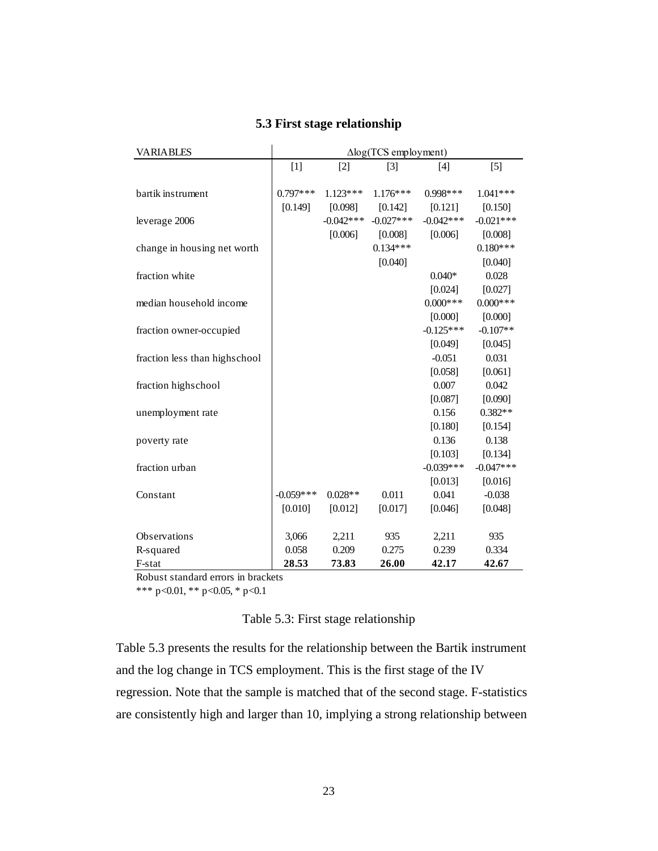| <b>VARIABLES</b>              | $\Delta$ log(TCS employment) |             |                   |             |             |  |
|-------------------------------|------------------------------|-------------|-------------------|-------------|-------------|--|
|                               | $[1]$                        | $[2]$       | $\lceil 3 \rceil$ | $[4]$       | $[5]$       |  |
|                               |                              |             |                   |             |             |  |
| bartik instrument             | $0.797***$                   | $1.123***$  | $1.176***$        | $0.998***$  | $1.041***$  |  |
|                               | [0.149]                      | [0.098]     | [0.142]           | [0.121]     | [0.150]     |  |
| leverage 2006                 |                              | $-0.042***$ | $-0.027***$       | $-0.042***$ | $-0.021***$ |  |
|                               |                              | [0.006]     | [0.008]           | [0.006]     | [0.008]     |  |
| change in housing net worth   |                              |             | $0.134***$        |             | $0.180***$  |  |
|                               |                              |             | [0.040]           |             | [0.040]     |  |
| fraction white                |                              |             |                   | $0.040*$    | 0.028       |  |
|                               |                              |             |                   | [0.024]     | [0.027]     |  |
| median household income       |                              |             |                   | $0.000***$  | $0.000***$  |  |
|                               |                              |             |                   | [0.000]     | [0.000]     |  |
| fraction owner-occupied       |                              |             |                   | $-0.125***$ | $-0.107**$  |  |
|                               |                              |             |                   | [0.049]     | [0.045]     |  |
| fraction less than highschool |                              |             |                   | $-0.051$    | 0.031       |  |
|                               |                              |             |                   | [0.058]     | [0.061]     |  |
| fraction highschool           |                              |             |                   | 0.007       | 0.042       |  |
|                               |                              |             |                   | [0.087]     | [0.090]     |  |
| unemployment rate             |                              |             |                   | 0.156       | $0.382**$   |  |
|                               |                              |             |                   | [0.180]     | [0.154]     |  |
| poverty rate                  |                              |             |                   | 0.136       | 0.138       |  |
|                               |                              |             |                   | [0.103]     | [0.134]     |  |
| fraction urban                |                              |             |                   | $-0.039***$ | $-0.047***$ |  |
|                               |                              |             |                   | [0.013]     | [0.016]     |  |
| Constant                      | $-0.059***$                  | $0.028**$   | 0.011             | 0.041       | $-0.038$    |  |
|                               | [0.010]                      | [0.012]     | [0.017]           | [0.046]     | [0.048]     |  |
|                               |                              |             |                   |             |             |  |
| Observations                  | 3,066                        | 2,211       | 935               | 2,211       | 935         |  |
| R-squared                     | 0.058                        | 0.209       | 0.275             | 0.239       | 0.334       |  |
| F-stat                        | 28.53                        | 73.83       | 26.00             | 42.17       | 42.67       |  |

# **5.3 First stage relationship**

Robust standard errors in brackets

\*\*\* p<0.01, \*\* p<0.05, \* p<0.1

# Table 5.3: First stage relationship

Table 5.3 presents the results for the relationship between the Bartik instrument and the log change in TCS employment. This is the first stage of the IV regression. Note that the sample is matched that of the second stage. F-statistics are consistently high and larger than 10, implying a strong relationship between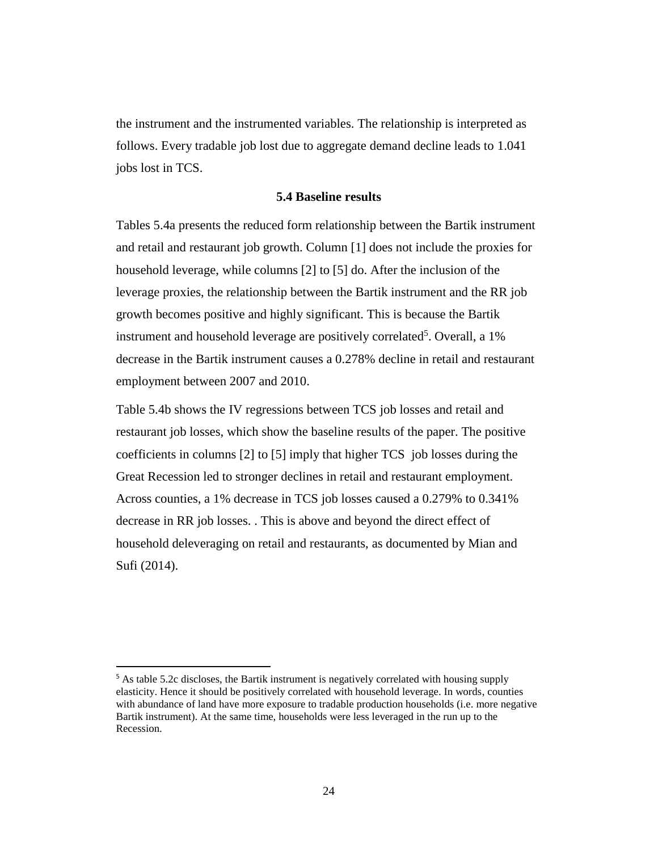the instrument and the instrumented variables. The relationship is interpreted as follows. Every tradable job lost due to aggregate demand decline leads to 1.041 jobs lost in TCS.

### **5.4 Baseline results**

Tables 5.4a presents the reduced form relationship between the Bartik instrument and retail and restaurant job growth. Column [1] does not include the proxies for household leverage, while columns [2] to [5] do. After the inclusion of the leverage proxies, the relationship between the Bartik instrument and the RR job growth becomes positive and highly significant. This is because the Bartik instrument and household leverage are positively correlated<sup>5</sup>. Overall, a 1% decrease in the Bartik instrument causes a 0.278% decline in retail and restaurant employment between 2007 and 2010.

Table 5.4b shows the IV regressions between TCS job losses and retail and restaurant job losses, which show the baseline results of the paper. The positive coefficients in columns [2] to [5] imply that higher TCS job losses during the Great Recession led to stronger declines in retail and restaurant employment. Across counties, a 1% decrease in TCS job losses caused a 0.279% to 0.341% decrease in RR job losses. . This is above and beyond the direct effect of household deleveraging on retail and restaurants, as documented by Mian and Sufi (2014).

 $\overline{a}$ 

<sup>&</sup>lt;sup>5</sup> As table 5.2c discloses, the Bartik instrument is negatively correlated with housing supply elasticity. Hence it should be positively correlated with household leverage. In words, counties with abundance of land have more exposure to tradable production households (i.e. more negative Bartik instrument). At the same time, households were less leveraged in the run up to the Recession.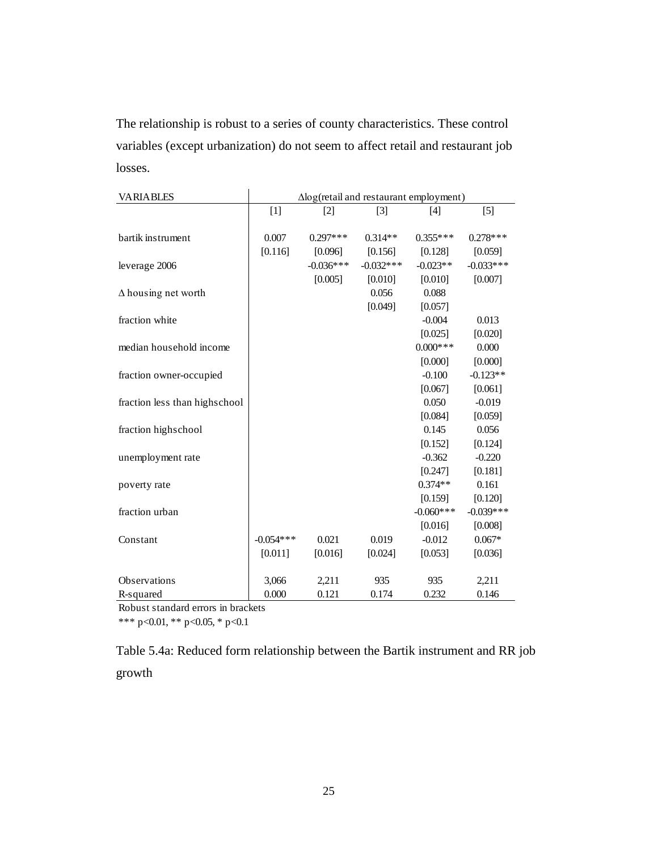The relationship is robust to a series of county characteristics. These control variables (except urbanization) do not seem to affect retail and restaurant job losses.

| <b>VARIABLES</b>              | $\Delta$ log(retail and restaurant employment) |             |             |             |             |
|-------------------------------|------------------------------------------------|-------------|-------------|-------------|-------------|
|                               | $[1]$                                          | $[2]$       | $[3]$       | [4]         | [5]         |
|                               |                                                |             |             |             |             |
| bartik instrument             | 0.007                                          | $0.297***$  | $0.314**$   | $0.355***$  | $0.278***$  |
|                               | [0.116]                                        | [0.096]     | [0.156]     | [0.128]     | [0.059]     |
| leverage 2006                 |                                                | $-0.036***$ | $-0.032***$ | $-0.023**$  | $-0.033***$ |
|                               |                                                | [0.005]     | [0.010]     | [0.010]     | [0.007]     |
| $\Delta$ housing net worth    |                                                |             | 0.056       | 0.088       |             |
|                               |                                                |             | [0.049]     | [0.057]     |             |
| fraction white                |                                                |             |             | $-0.004$    | 0.013       |
|                               |                                                |             |             | [0.025]     | [0.020]     |
| median household income       |                                                |             |             | $0.000***$  | 0.000       |
|                               |                                                |             |             | [0.000]     | [0.000]     |
| fraction owner-occupied       |                                                |             |             | $-0.100$    | $-0.123**$  |
|                               |                                                |             |             | [0.067]     | [0.061]     |
| fraction less than highschool |                                                |             |             | 0.050       | $-0.019$    |
|                               |                                                |             |             | [0.084]     | [0.059]     |
| fraction highschool           |                                                |             |             | 0.145       | 0.056       |
|                               |                                                |             |             | [0.152]     | [0.124]     |
| unemployment rate             |                                                |             |             | $-0.362$    | $-0.220$    |
|                               |                                                |             |             | [0.247]     | [0.181]     |
| poverty rate                  |                                                |             |             | $0.374**$   | 0.161       |
|                               |                                                |             |             | [0.159]     | [0.120]     |
| fraction urban                |                                                |             |             | $-0.060***$ | $-0.039***$ |
|                               |                                                |             |             | [0.016]     | [0.008]     |
| Constant                      | $-0.054***$                                    | 0.021       | 0.019       | $-0.012$    | $0.067*$    |
|                               | [0.011]                                        | [0.016]     | [0.024]     | [0.053]     | [0.036]     |
|                               |                                                |             |             |             |             |
| Observations                  | 3,066                                          | 2,211       | 935         | 935         | 2,211       |
| R-squared                     | 0.000                                          | 0.121       | 0.174       | 0.232       | 0.146       |

Robust standard errors in brackets

\*\*\* p<0.01, \*\* p<0.05, \* p<0.1

Table 5.4a: Reduced form relationship between the Bartik instrument and RR job growth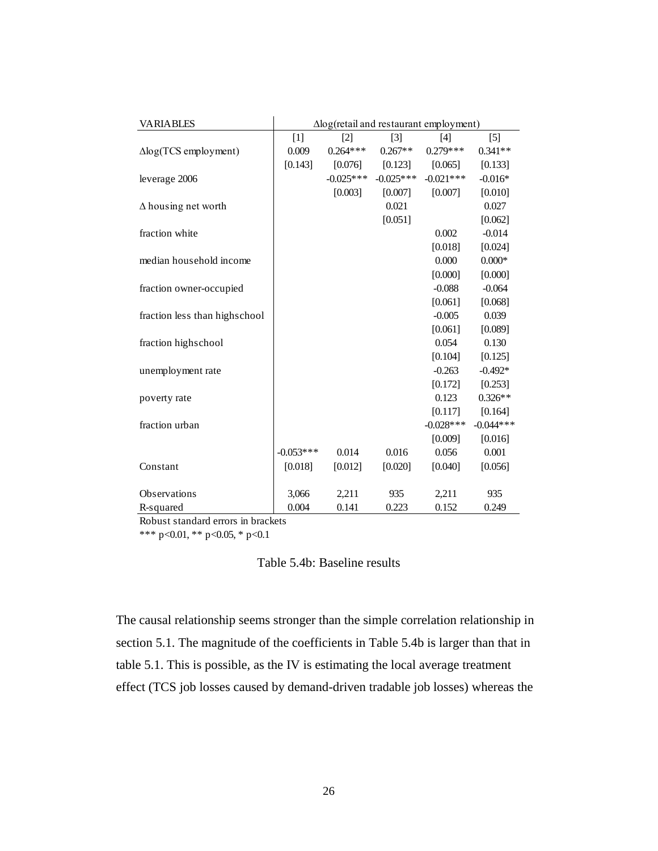| <b>VARIABLES</b>              | $\Delta$ log(retail and restaurant employment) |             |             |              |                   |
|-------------------------------|------------------------------------------------|-------------|-------------|--------------|-------------------|
|                               | $[1]$                                          | [2]         | $[3]$       | $[4]$        | $\lceil 5 \rceil$ |
| $\Delta$ log(TCS employment)  | 0.009                                          | $0.264***$  | $0.267**$   | $0.279***$   | $0.341**$         |
|                               | [0.143]                                        | [0.076]     | [0.123]     | [0.065]      | [0.133]           |
| leverage 2006                 |                                                | $-0.025***$ | $-0.025***$ | $-0.021***$  | $-0.016*$         |
|                               |                                                | [0.003]     | [0.007]     | [0.007]      | [0.010]           |
| $\Delta$ housing net worth    |                                                |             | 0.021       |              | 0.027             |
|                               |                                                |             | [0.051]     |              | [0.062]           |
| fraction white                |                                                |             |             | 0.002        | $-0.014$          |
|                               |                                                |             |             | [0.018]      | [0.024]           |
| median household income       |                                                |             |             | 0.000        | $0.000*$          |
|                               |                                                |             |             | [0.000]      | [0.000]           |
| fraction owner-occupied       |                                                |             |             | $-0.088$     | $-0.064$          |
|                               |                                                |             |             | [0.061]      | [0.068]           |
| fraction less than highschool |                                                |             |             | $-0.005$     | 0.039             |
|                               |                                                |             |             | [0.061]      | [0.089]           |
| fraction highschool           |                                                |             |             | 0.054        | 0.130             |
|                               |                                                |             |             | [0.104]      | [0.125]           |
| unemployment rate             |                                                |             |             | $-0.263$     | $-0.492*$         |
|                               |                                                |             |             | [0.172]      | [0.253]           |
| poverty rate                  |                                                |             |             | 0.123        | $0.326**$         |
|                               |                                                |             |             | [0.117]      | [0.164]           |
| fraction urban                |                                                |             |             | $-0.028$ *** | $-0.044***$       |
|                               |                                                |             |             | [0.009]      | [0.016]           |
|                               | $-0.053***$                                    | 0.014       | 0.016       | 0.056        | 0.001             |
| Constant                      | [0.018]                                        | [0.012]     | [0.020]     | [0.040]      | [0.056]           |
|                               |                                                |             |             |              |                   |
| Observations                  | 3,066                                          | 2,211       | 935         | 2,211        | 935               |
| R-squared                     | 0.004                                          | 0.141       | 0.223       | 0.152        | 0.249             |

Robust standard errors in brackets

\*\*\* p<0.01, \*\* p<0.05, \* p<0.1

Table 5.4b: Baseline results

The causal relationship seems stronger than the simple correlation relationship in section 5.1. The magnitude of the coefficients in Table 5.4b is larger than that in table 5.1. This is possible, as the IV is estimating the local average treatment effect (TCS job losses caused by demand-driven tradable job losses) whereas the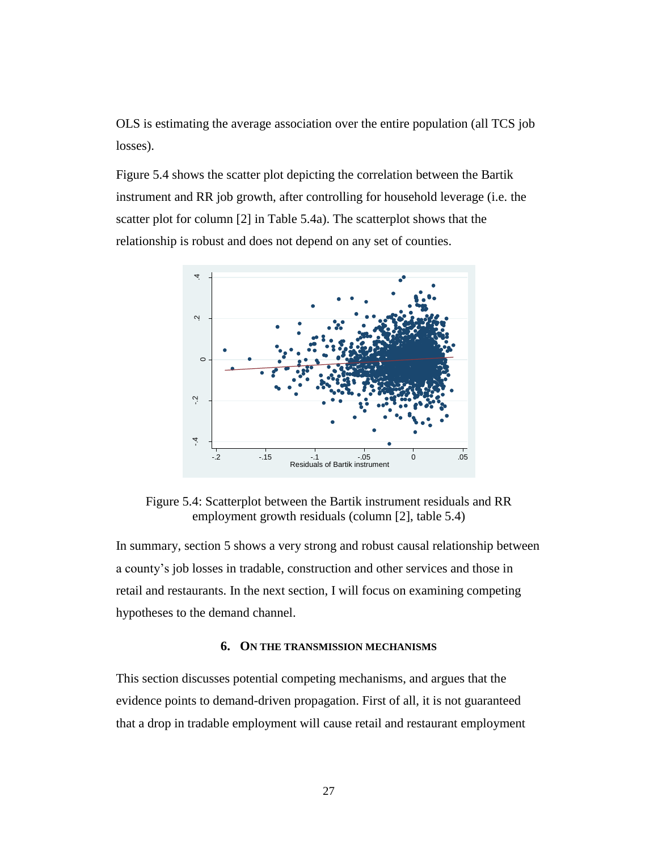OLS is estimating the average association over the entire population (all TCS job losses).

Figure 5.4 shows the scatter plot depicting the correlation between the Bartik instrument and RR job growth, after controlling for household leverage (i.e. the scatter plot for column [2] in Table 5.4a). The scatterplot shows that the relationship is robust and does not depend on any set of counties.



Figure 5.4: Scatterplot between the Bartik instrument residuals and RR employment growth residuals (column [2], table 5.4)

In summary, section 5 shows a very strong and robust causal relationship between a county's job losses in tradable, construction and other services and those in retail and restaurants. In the next section, I will focus on examining competing hypotheses to the demand channel.

#### **6. ON THE TRANSMISSION MECHANISMS**

This section discusses potential competing mechanisms, and argues that the evidence points to demand-driven propagation. First of all, it is not guaranteed that a drop in tradable employment will cause retail and restaurant employment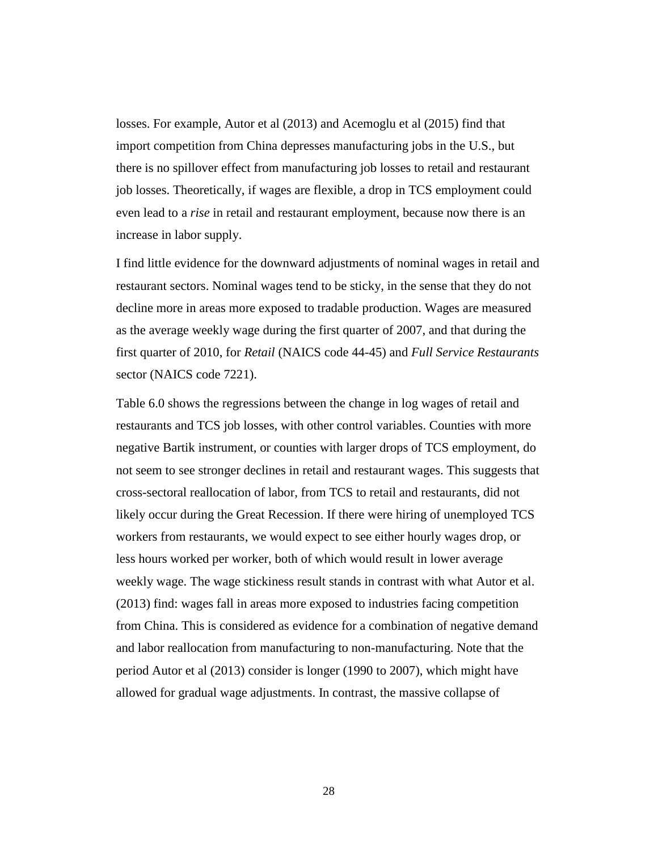losses. For example, Autor et al (2013) and Acemoglu et al (2015) find that import competition from China depresses manufacturing jobs in the U.S., but there is no spillover effect from manufacturing job losses to retail and restaurant job losses. Theoretically, if wages are flexible, a drop in TCS employment could even lead to a *rise* in retail and restaurant employment, because now there is an increase in labor supply.

I find little evidence for the downward adjustments of nominal wages in retail and restaurant sectors. Nominal wages tend to be sticky, in the sense that they do not decline more in areas more exposed to tradable production. Wages are measured as the average weekly wage during the first quarter of 2007, and that during the first quarter of 2010, for *Retail* (NAICS code 44-45) and *Full Service Restaurants* sector (NAICS code 7221).

Table 6.0 shows the regressions between the change in log wages of retail and restaurants and TCS job losses, with other control variables. Counties with more negative Bartik instrument, or counties with larger drops of TCS employment, do not seem to see stronger declines in retail and restaurant wages. This suggests that cross-sectoral reallocation of labor, from TCS to retail and restaurants, did not likely occur during the Great Recession. If there were hiring of unemployed TCS workers from restaurants, we would expect to see either hourly wages drop, or less hours worked per worker, both of which would result in lower average weekly wage. The wage stickiness result stands in contrast with what Autor et al. (2013) find: wages fall in areas more exposed to industries facing competition from China. This is considered as evidence for a combination of negative demand and labor reallocation from manufacturing to non-manufacturing. Note that the period Autor et al (2013) consider is longer (1990 to 2007), which might have allowed for gradual wage adjustments. In contrast, the massive collapse of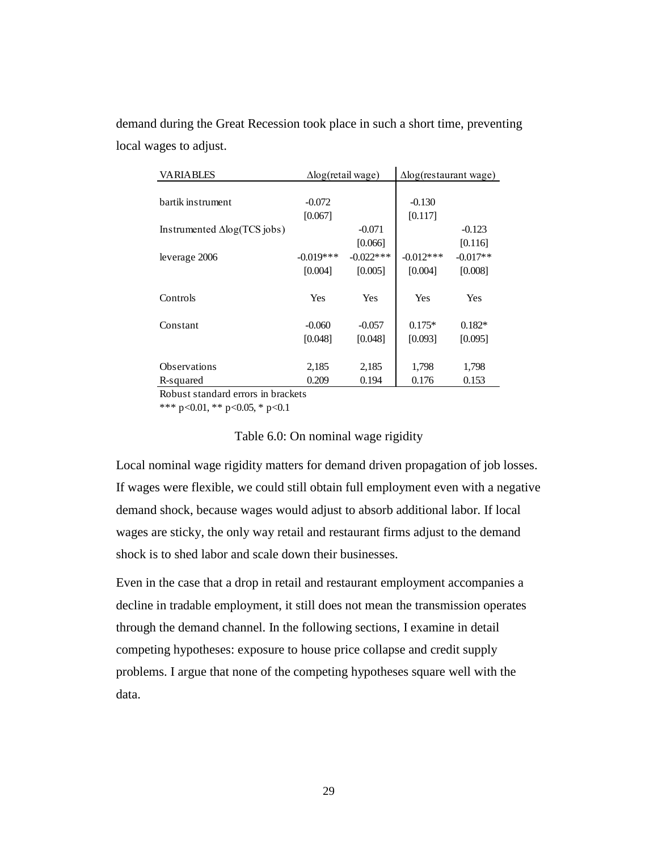demand during the Great Recession took place in such a short time, preventing local wages to adjust.

| <b>VARIABLES</b>                    | $\Delta$ log(retail wage) |              | $\Delta$ log(restaurant wage) |            |
|-------------------------------------|---------------------------|--------------|-------------------------------|------------|
|                                     |                           |              |                               |            |
| bartik instrument                   | $-0.072$                  |              | $-0.130$                      |            |
|                                     | [0.067]                   |              | [0.117]                       |            |
| Instrumented $\Delta$ log(TCS jobs) |                           | $-0.071$     |                               | $-0.123$   |
|                                     |                           | [0.066]      |                               | [0.116]    |
| leverage 2006                       | $-0.019***$               | $-0.022$ *** | $-0.012***$                   | $-0.017**$ |
|                                     | [0.004]                   | [0.005]      | [0.004]                       | [0.008]    |
|                                     |                           |              |                               |            |
| Controls                            | Yes                       | <b>Yes</b>   | Yes                           | Yes        |
|                                     |                           |              |                               |            |
| Constant                            | $-0.060$                  | $-0.057$     | $0.175*$                      | $0.182*$   |
|                                     | [0.048]                   | [0.048]      | [0.093]                       | [0.095]    |
|                                     |                           |              |                               |            |
| <b>Observations</b>                 | 2,185                     | 2,185        | 1,798                         | 1,798      |
| R-squared                           | 0.209                     | 0.194        | 0.176                         | 0.153      |

Robust standard errors in brackets

\*\*\* p<0.01, \*\* p<0.05, \* p<0.1

#### Table 6.0: On nominal wage rigidity

Local nominal wage rigidity matters for demand driven propagation of job losses. If wages were flexible, we could still obtain full employment even with a negative demand shock, because wages would adjust to absorb additional labor. If local wages are sticky, the only way retail and restaurant firms adjust to the demand shock is to shed labor and scale down their businesses.

Even in the case that a drop in retail and restaurant employment accompanies a decline in tradable employment, it still does not mean the transmission operates through the demand channel. In the following sections, I examine in detail competing hypotheses: exposure to house price collapse and credit supply problems. I argue that none of the competing hypotheses square well with the data.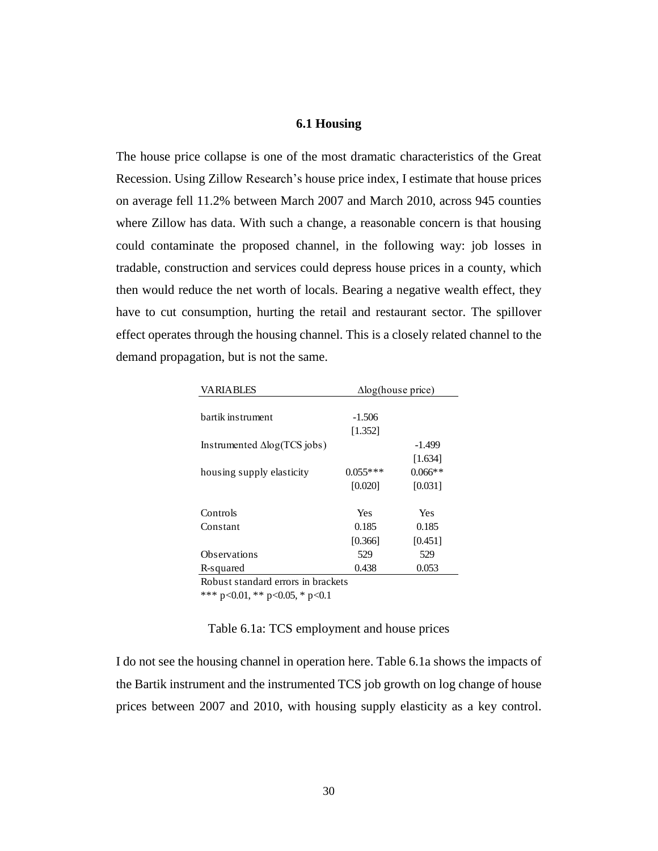## **6.1 Housing**

The house price collapse is one of the most dramatic characteristics of the Great Recession. Using Zillow Research's house price index, I estimate that house prices on average fell 11.2% between March 2007 and March 2010, across 945 counties where Zillow has data. With such a change, a reasonable concern is that housing could contaminate the proposed channel, in the following way: job losses in tradable, construction and services could depress house prices in a county, which then would reduce the net worth of locals. Bearing a negative wealth effect, they have to cut consumption, hurting the retail and restaurant sector. The spillover effect operates through the housing channel. This is a closely related channel to the demand propagation, but is not the same.

| <b>VARIABLES</b>                    | $\Delta$ log(house price) |           |  |
|-------------------------------------|---------------------------|-----------|--|
|                                     |                           |           |  |
| bartik instrument                   | $-1.506$                  |           |  |
|                                     | [1.352]                   |           |  |
| Instrumented $\Delta$ log(TCS jobs) |                           | $-1.499$  |  |
|                                     |                           | [1.634]   |  |
| housing supply elasticity           | $0.055***$                | $0.066**$ |  |
|                                     | [0.020]                   | [0.031]   |  |
| Controls                            | Yes                       | Yes       |  |
| Constant                            | 0.185                     | 0.185     |  |
|                                     | [0.366]                   | [0.451]   |  |
| <b>Observations</b>                 | 529                       | 529       |  |
| R-squared                           | 0.438                     | 0.053     |  |
| Robust standard errors in brackets  |                           |           |  |

\*\*\* p<0.01, \*\* p<0.05, \* p<0.1

Table 6.1a: TCS employment and house prices

I do not see the housing channel in operation here. Table 6.1a shows the impacts of the Bartik instrument and the instrumented TCS job growth on log change of house prices between 2007 and 2010, with housing supply elasticity as a key control.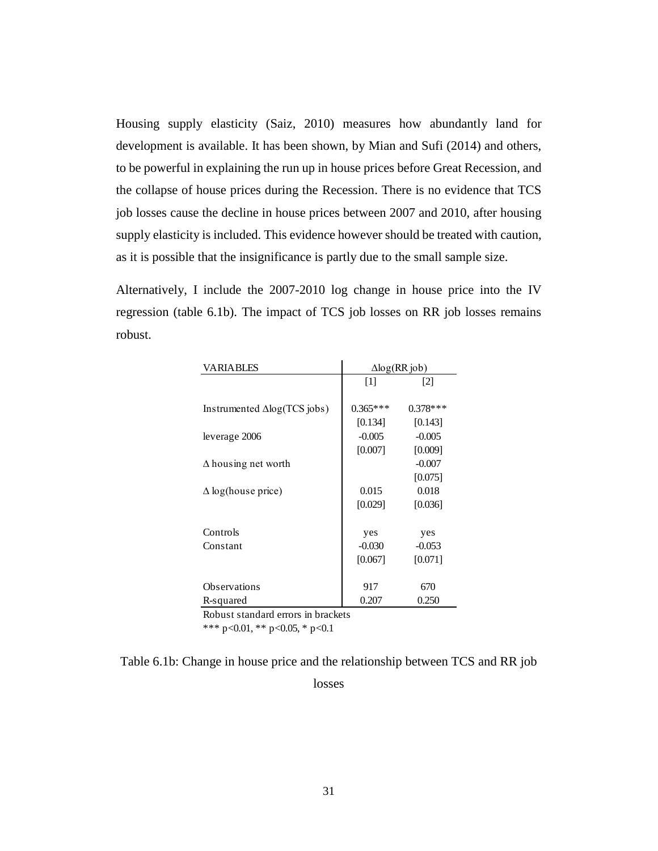Housing supply elasticity (Saiz, 2010) measures how abundantly land for development is available. It has been shown, by Mian and Sufi (2014) and others, to be powerful in explaining the run up in house prices before Great Recession, and the collapse of house prices during the Recession. There is no evidence that TCS job losses cause the decline in house prices between 2007 and 2010, after housing supply elasticity is included. This evidence however should be treated with caution, as it is possible that the insignificance is partly due to the small sample size.

Alternatively, I include the 2007-2010 log change in house price into the IV regression (table 6.1b). The impact of TCS job losses on RR job losses remains robust.

| <b>VARIABLES</b>                          | $\Delta$ log(RR job) |            |  |  |
|-------------------------------------------|----------------------|------------|--|--|
|                                           | $[1]$                | [2]        |  |  |
|                                           |                      |            |  |  |
| Instrumented $\Delta$ log(TCS jobs)       | $0.365***$           | $0.378***$ |  |  |
|                                           | [0.134]              | [0.143]    |  |  |
| leverage 2006                             | $-0.005$             | $-0.005$   |  |  |
|                                           | [0.007]              | [0.009]    |  |  |
| $\Delta$ housing net worth                |                      | $-0.007$   |  |  |
|                                           |                      | [0.075]    |  |  |
| $\Delta$ log(house price)                 | 0.015                | 0.018      |  |  |
|                                           | [0.029]              | [0.036]    |  |  |
|                                           |                      |            |  |  |
| Controls                                  | yes                  | yes        |  |  |
| Constant                                  | $-0.030$             | $-0.053$   |  |  |
|                                           | [0.067]              | [0.071]    |  |  |
|                                           |                      |            |  |  |
| Observations                              | 917                  | 670        |  |  |
| R-squared                                 | 0.207                | 0.250      |  |  |
| Detected stated and smaller to true deste |                      |            |  |  |

Robust standard errors in brackets

\*\*\* p<0.01, \*\* p<0.05, \* p<0.1

Table 6.1b: Change in house price and the relationship between TCS and RR job

losses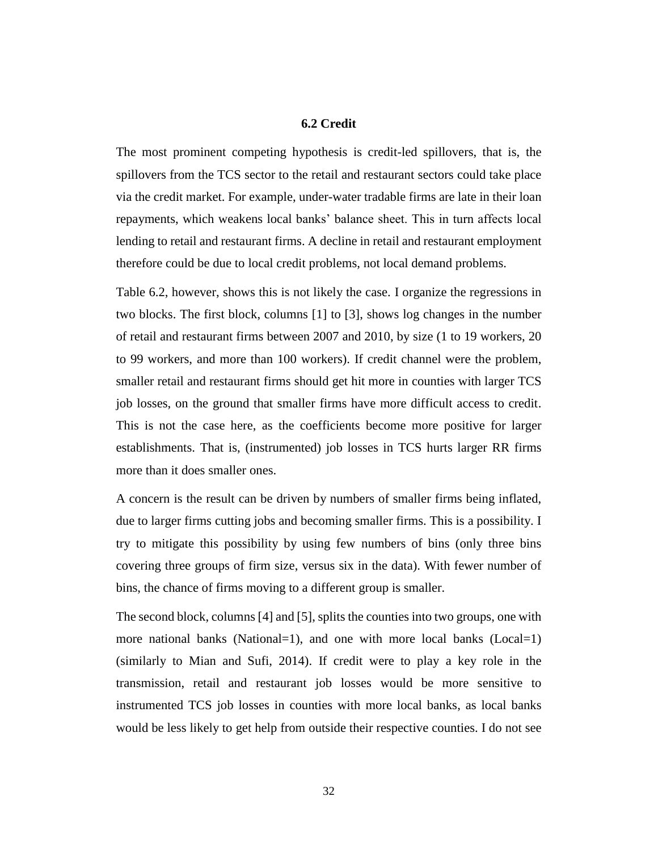# **6.2 Credit**

The most prominent competing hypothesis is credit-led spillovers, that is, the spillovers from the TCS sector to the retail and restaurant sectors could take place via the credit market. For example, under-water tradable firms are late in their loan repayments, which weakens local banks' balance sheet. This in turn affects local lending to retail and restaurant firms. A decline in retail and restaurant employment therefore could be due to local credit problems, not local demand problems.

Table 6.2, however, shows this is not likely the case. I organize the regressions in two blocks. The first block, columns [1] to [3], shows log changes in the number of retail and restaurant firms between 2007 and 2010, by size (1 to 19 workers, 20 to 99 workers, and more than 100 workers). If credit channel were the problem, smaller retail and restaurant firms should get hit more in counties with larger TCS job losses, on the ground that smaller firms have more difficult access to credit. This is not the case here, as the coefficients become more positive for larger establishments. That is, (instrumented) job losses in TCS hurts larger RR firms more than it does smaller ones.

A concern is the result can be driven by numbers of smaller firms being inflated, due to larger firms cutting jobs and becoming smaller firms. This is a possibility. I try to mitigate this possibility by using few numbers of bins (only three bins covering three groups of firm size, versus six in the data). With fewer number of bins, the chance of firms moving to a different group is smaller.

The second block, columns [4] and [5], splits the counties into two groups, one with more national banks (National=1), and one with more local banks ( $Local=1$ ) (similarly to Mian and Sufi, 2014). If credit were to play a key role in the transmission, retail and restaurant job losses would be more sensitive to instrumented TCS job losses in counties with more local banks, as local banks would be less likely to get help from outside their respective counties. I do not see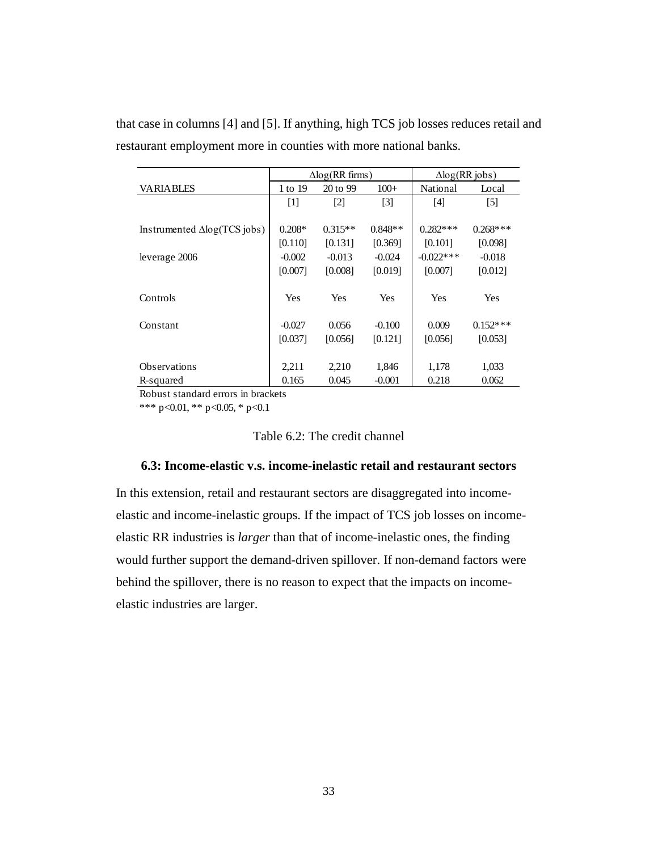|                                     | $\Delta$ log(RR firms) |            | $\Delta$ log(RR jobs) |              |                   |
|-------------------------------------|------------------------|------------|-----------------------|--------------|-------------------|
| <b>VARIABLES</b>                    | 1 to 19                | 20 to 99   | $100+$                | National     | Local             |
|                                     | [1]                    | $[2]$      | $\lceil 3 \rceil$     | $[4]$        | $\lceil 5 \rceil$ |
|                                     |                        |            |                       |              |                   |
| Instrumented $\Delta$ log(TCS jobs) | $0.208*$               | $0.315**$  | $0.848**$             | $0.282***$   | $0.268***$        |
|                                     | [0.110]                | [0.131]    | [0.369]               | [0.101]      | [0.098]           |
| leverage 2006                       | $-0.002$               | $-0.013$   | $-0.024$              | $-0.022$ *** | $-0.018$          |
|                                     | [0.007]                | [0.008]    | [0.019]               | [0.007]      | [0.012]           |
|                                     |                        |            |                       |              |                   |
| Controls                            | Yes                    | <b>Yes</b> | <b>Yes</b>            | Yes          | <b>Yes</b>        |
|                                     |                        |            |                       |              |                   |
| Constant                            | $-0.027$               | 0.056      | $-0.100$              | 0.009        | $0.152***$        |
|                                     | [0.037]                | [0.056]    | [0.121]               | [0.056]      | [0.053]           |
|                                     |                        |            |                       |              |                   |
| <b>Observations</b>                 | 2,211                  | 2,210      | 1,846                 | 1,178        | 1,033             |
| R-squared                           | 0.165                  | 0.045      | $-0.001$              | 0.218        | 0.062             |

that case in columns [4] and [5]. If anything, high TCS job losses reduces retail and restaurant employment more in counties with more national banks.

Robust standard errors in brackets

\*\*\* p<0.01, \*\* p<0.05, \* p<0.1

## Table 6.2: The credit channel

#### **6.3: Income-elastic v.s. income-inelastic retail and restaurant sectors**

In this extension, retail and restaurant sectors are disaggregated into incomeelastic and income-inelastic groups. If the impact of TCS job losses on incomeelastic RR industries is *larger* than that of income-inelastic ones, the finding would further support the demand-driven spillover. If non-demand factors were behind the spillover, there is no reason to expect that the impacts on incomeelastic industries are larger.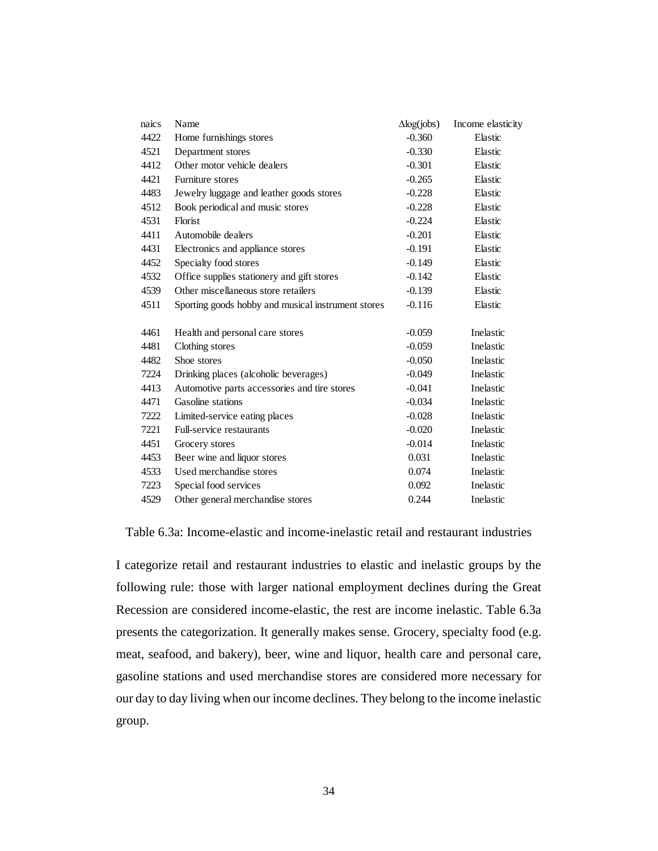| naics | Name                                               | $\Delta$ log(jobs) | Income elasticity |
|-------|----------------------------------------------------|--------------------|-------------------|
| 4422  | Home furnishings stores                            | $-0.360$           | Elastic           |
| 4521  | Department stores                                  | $-0.330$           | Elastic           |
| 4412  | Other motor vehicle dealers                        | $-0.301$           | Elastic           |
| 4421  | Furniture stores                                   | $-0.265$           | Elastic           |
| 4483  | Jewelry luggage and leather goods stores           | $-0.228$           | Elastic           |
| 4512  | Book periodical and music stores                   | $-0.228$           | Elastic           |
| 4531  | Florist                                            | $-0.224$           | Elastic           |
| 4411  | Automobile dealers                                 | $-0.201$           | Elastic           |
| 4431  | Electronics and appliance stores                   | $-0.191$           | Elastic           |
| 4452  | Specialty food stores                              | $-0.149$           | Elastic           |
| 4532  | Office supplies stationery and gift stores         | $-0.142$           | Elastic           |
| 4539  | Other miscellaneous store retailers                | $-0.139$           | Elastic           |
| 4511  | Sporting goods hobby and musical instrument stores | $-0.116$           | Elastic           |
|       |                                                    |                    |                   |
| 4461  | Health and personal care stores                    | $-0.059$           | Inelastic         |
| 4481  | Clothing stores                                    | $-0.059$           | Inelastic         |
| 4482  | Shoe stores                                        | $-0.050$           | Inelastic         |
| 7224  | Drinking places (alcoholic beverages)              | $-0.049$           | Inelastic         |
| 4413  | Automotive parts accessories and tire stores       | $-0.041$           | Inelastic         |
| 4471  | Gasoline stations                                  | $-0.034$           | Inelastic         |
| 7222  | Limited-service eating places                      | $-0.028$           | Inelastic         |
| 7221  | Full-service restaurants                           | $-0.020$           | Inelastic         |
| 4451  | Grocery stores                                     | $-0.014$           | Inelastic         |
| 4453  | Beer wine and liquor stores                        | 0.031              | Inelastic         |
| 4533  | Used merchandise stores                            | 0.074              | Inelastic         |
| 7223  | Special food services                              | 0.092              | Inelastic         |
| 4529  | Other general merchandise stores                   | 0.244              | Inelastic         |

Table 6.3a: Income-elastic and income-inelastic retail and restaurant industries

I categorize retail and restaurant industries to elastic and inelastic groups by the following rule: those with larger national employment declines during the Great Recession are considered income-elastic, the rest are income inelastic. Table 6.3a presents the categorization. It generally makes sense. Grocery, specialty food (e.g. meat, seafood, and bakery), beer, wine and liquor, health care and personal care, gasoline stations and used merchandise stores are considered more necessary for our day to day living when our income declines. They belong to the income inelastic group.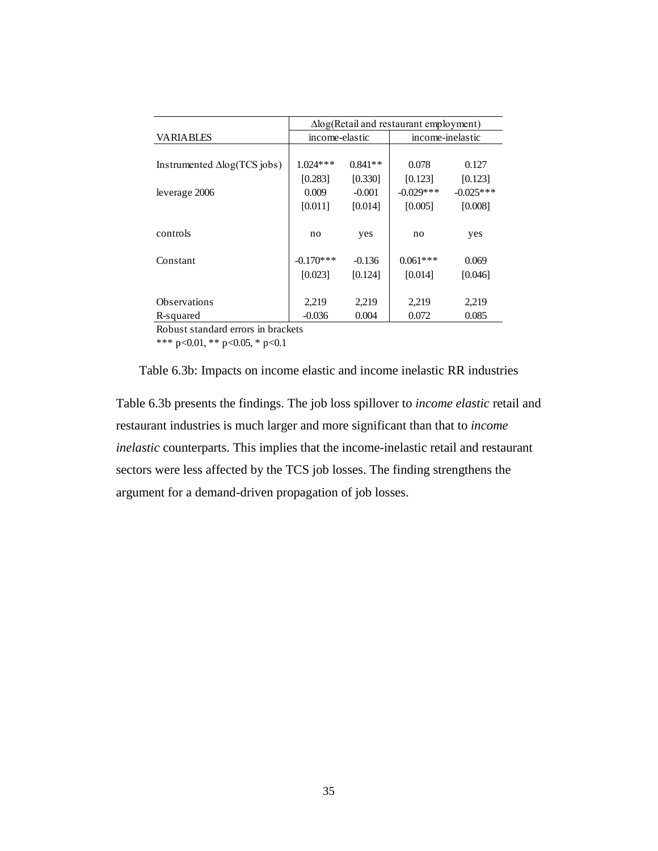|                                     | $\Delta$ log(Retail and restaurant employment) |           |                  |             |
|-------------------------------------|------------------------------------------------|-----------|------------------|-------------|
| <b>VARIABLES</b>                    | income-elastic                                 |           | income-inelastic |             |
|                                     |                                                |           |                  |             |
| Instrumented $\Delta$ log(TCS jobs) | $1.024***$                                     | $0.841**$ | 0.078            | 0.127       |
|                                     | [0.283]                                        | [0.330]   | [0.123]          | [0.123]     |
| leverage 2006                       | 0.009                                          | $-0.001$  | $-0.029$ ***     | $-0.025***$ |
|                                     | [0.011]                                        | [0.014]   | [0.005]          | [0.008]     |
|                                     |                                                |           |                  |             |
| controls                            | no                                             | yes       | no               | yes         |
|                                     |                                                |           |                  |             |
| Constant                            | $-0.170***$                                    | $-0.136$  | $0.061***$       | 0.069       |
|                                     | [0.023]                                        | [0.124]   | [0.014]          | [0.046]     |
|                                     |                                                |           |                  |             |
| <b>Observations</b>                 | 2,219                                          | 2,219     | 2,219            | 2,219       |
| R-squared                           | $-0.036$                                       | 0.004     | 0.072            | 0.085       |

Robust standard errors in brackets

\*\*\* p<0.01, \*\* p<0.05, \* p<0.1



Table 6.3b presents the findings. The job loss spillover to *income elastic* retail and restaurant industries is much larger and more significant than that to *income inelastic* counterparts. This implies that the income-inelastic retail and restaurant sectors were less affected by the TCS job losses. The finding strengthens the argument for a demand-driven propagation of job losses.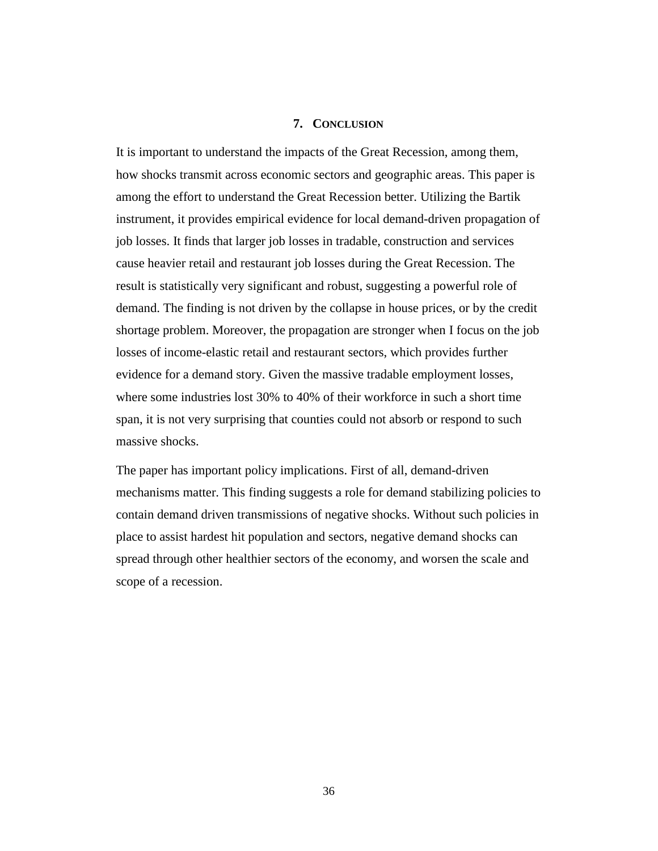#### **7. CONCLUSION**

It is important to understand the impacts of the Great Recession, among them, how shocks transmit across economic sectors and geographic areas. This paper is among the effort to understand the Great Recession better. Utilizing the Bartik instrument, it provides empirical evidence for local demand-driven propagation of job losses. It finds that larger job losses in tradable, construction and services cause heavier retail and restaurant job losses during the Great Recession. The result is statistically very significant and robust, suggesting a powerful role of demand. The finding is not driven by the collapse in house prices, or by the credit shortage problem. Moreover, the propagation are stronger when I focus on the job losses of income-elastic retail and restaurant sectors, which provides further evidence for a demand story. Given the massive tradable employment losses, where some industries lost 30% to 40% of their workforce in such a short time span, it is not very surprising that counties could not absorb or respond to such massive shocks.

The paper has important policy implications. First of all, demand-driven mechanisms matter. This finding suggests a role for demand stabilizing policies to contain demand driven transmissions of negative shocks. Without such policies in place to assist hardest hit population and sectors, negative demand shocks can spread through other healthier sectors of the economy, and worsen the scale and scope of a recession.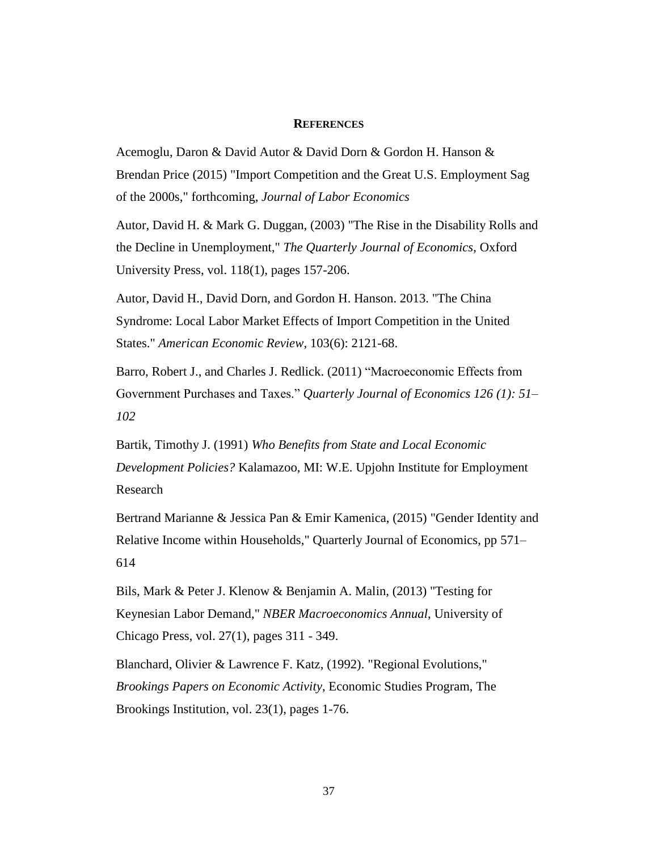#### **REFERENCES**

Acemoglu, Daron & David Autor & David Dorn & Gordon H. Hanson & Brendan Price (2015) "Import Competition and the Great U.S. Employment Sag of the 2000s," forthcoming, *Journal of Labor Economics*

Autor, David H. & Mark G. Duggan, (2003) "The Rise in the Disability Rolls and the Decline in Unemployment," *The Quarterly Journal of Economics*, Oxford University Press, vol. 118(1), pages 157-206.

Autor, David H., David Dorn, and Gordon H. Hanson. 2013. "The China Syndrome: Local Labor Market Effects of Import Competition in the United States." *American Economic Review*, 103(6): 2121-68.

Barro, Robert J., and Charles J. Redlick. (2011) "Macroeconomic Effects from Government Purchases and Taxes." *Quarterly Journal of Economics 126 (1): 51– 102*

Bartik, Timothy J. (1991) *Who Benefits from State and Local Economic Development Policies?* Kalamazoo, MI: W.E. Upjohn Institute for Employment Research

Bertrand Marianne & Jessica Pan & Emir Kamenica, (2015) "Gender Identity and Relative Income within Households," Quarterly Journal of Economics, pp 571– 614

Bils, Mark & Peter J. Klenow & Benjamin A. Malin, (2013) "Testing for Keynesian Labor Demand," *NBER Macroeconomics Annual*, University of Chicago Press, vol. 27(1), pages 311 - 349.

Blanchard, Olivier & Lawrence F. Katz, (1992). "Regional Evolutions," *Brookings Papers on Economic Activity*, Economic Studies Program, The Brookings Institution, vol. 23(1), pages 1-76.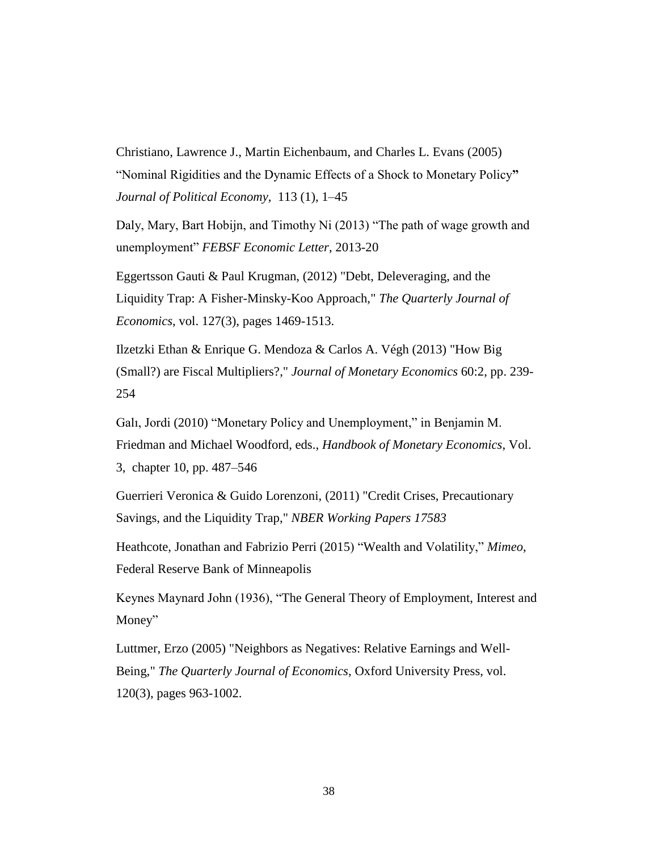Christiano, Lawrence J., Martin Eichenbaum, and Charles L. Evans (2005) "Nominal Rigidities and the Dynamic Effects of a Shock to Monetary Policy**"**  *Journal of Political Economy*, 113 (1), 1–45

Daly, Mary, Bart Hobijn, and Timothy Ni (2013) "The path of wage growth and unemployment" *FEBSF Economic Letter*, 2013-20

Eggertsson Gauti & Paul Krugman, (2012) "Debt, Deleveraging, and the Liquidity Trap: A Fisher-Minsky-Koo Approach," *The Quarterly Journal of Economics*, vol. 127(3), pages 1469-1513.

Ilzetzki Ethan & Enrique G. Mendoza & Carlos A. Végh (2013) "How Big (Small?) are Fiscal Multipliers?," *Journal of Monetary Economics* 60:2, pp. 239- 254

Galı, Jordi (2010) "Monetary Policy and Unemployment," in Benjamin M. Friedman and Michael Woodford, eds., *Handbook of Monetary Economics*, Vol. 3, chapter 10, pp. 487–546

Guerrieri Veronica & Guido Lorenzoni, (2011) "Credit Crises, Precautionary Savings, and the Liquidity Trap," *NBER Working Papers 17583*

Heathcote, Jonathan and Fabrizio Perri (2015) "Wealth and Volatility," *Mimeo*, Federal Reserve Bank of Minneapolis

Keynes Maynard John (1936), "The General Theory of Employment, Interest and Money"

Luttmer, Erzo (2005) "Neighbors as Negatives: Relative Earnings and Well-Being," *The Quarterly Journal of Economics*, Oxford University Press, vol. 120(3), pages 963-1002.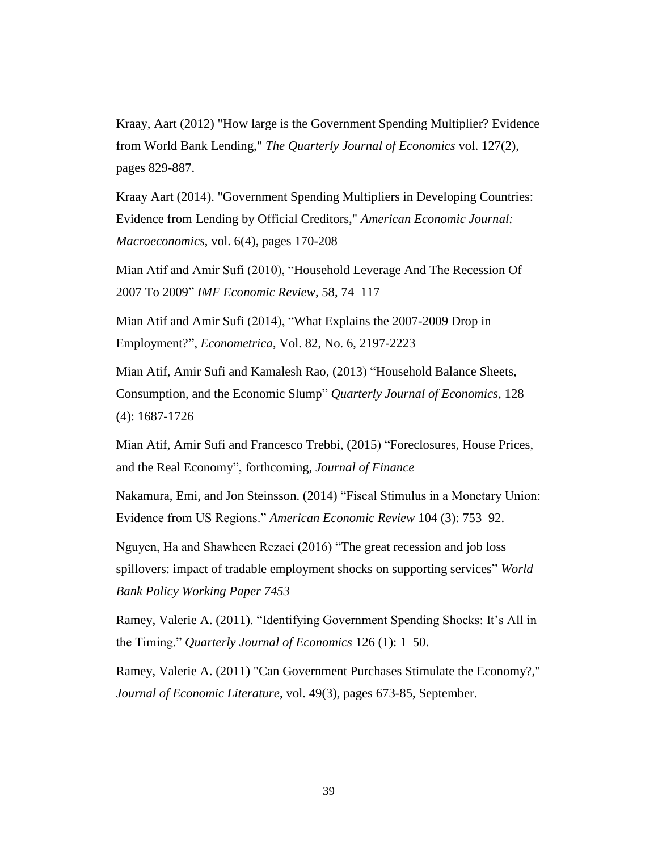Kraay, Aart (2012) "How large is the Government Spending Multiplier? Evidence from World Bank Lending," *The Quarterly Journal of Economics* vol. 127(2), pages 829-887.

Kraay Aart (2014). "Government Spending Multipliers in Developing Countries: Evidence from Lending by Official Creditors," *American Economic Journal: Macroeconomics*, vol. 6(4), pages 170-208

Mian Atif and Amir Sufi (2010), "Household Leverage And The Recession Of 2007 To 2009" *IMF Economic Review*, 58, 74–117

Mian Atif and Amir Sufi (2014), "What Explains the 2007-2009 Drop in Employment?", *Econometrica*, Vol. 82, No. 6, 2197-2223

Mian Atif, Amir Sufi and Kamalesh Rao, (2013) "Household Balance Sheets, Consumption, and the Economic Slump" *Quarterly Journal of Economics*, 128 (4): 1687-1726

Mian Atif, Amir Sufi and Francesco Trebbi, (2015) "Foreclosures, House Prices, and the Real Economy", forthcoming, *Journal of Finance*

Nakamura, Emi, and Jon Steinsson. (2014) "Fiscal Stimulus in a Monetary Union: Evidence from US Regions." *American Economic Review* 104 (3): 753–92.

Nguyen, Ha and Shawheen Rezaei (2016) "The great recession and job loss spillovers: impact of tradable employment shocks on supporting services" *World Bank Policy Working Paper 7453*

Ramey, Valerie A. (2011). "Identifying Government Spending Shocks: It's All in the Timing." *Quarterly Journal of Economics* 126 (1): 1–50.

Ramey, Valerie A. (2011) "Can Government Purchases Stimulate the Economy?," *Journal of Economic Literature*, vol. 49(3), pages 673-85, September.